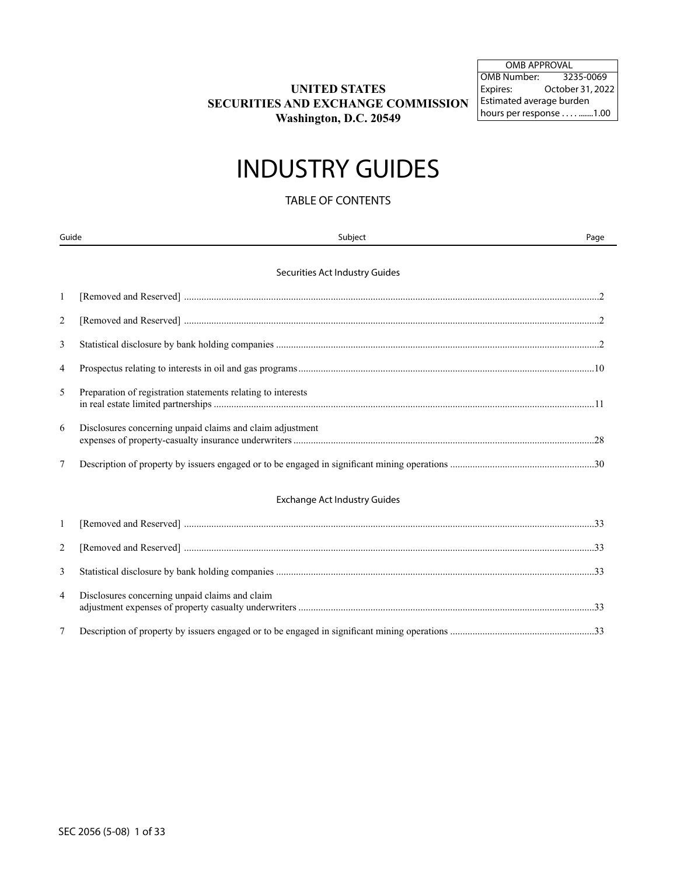## **UNITED STATES SECURITIES AND EXCHANGE COMMISSION Washington, D.C. 20549**

OMB APPROVAL<br>Number: 3235-0069 OMB Number: Expires: October 31, 2022 Estimated average burden hours per response . . . . .......1.00

# INDUSTRY GUIDES

## TABLE OF CONTENTS

|                                                                                                                                                                                                                                                                                                    | Subject<br>Page                                |  |  |  |
|----------------------------------------------------------------------------------------------------------------------------------------------------------------------------------------------------------------------------------------------------------------------------------------------------|------------------------------------------------|--|--|--|
| Guide<br>Securities Act Industry Guides<br>1<br>$\overline{2}$<br>3<br>4<br>Preparation of registration statements relating to interests<br>5<br>Disclosures concerning unpaid claims and claim adjustment<br>6<br>7<br><b>Exchange Act Industry Guides</b><br>$\mathbf{1}$<br>$\overline{c}$<br>3 |                                                |  |  |  |
|                                                                                                                                                                                                                                                                                                    |                                                |  |  |  |
|                                                                                                                                                                                                                                                                                                    |                                                |  |  |  |
|                                                                                                                                                                                                                                                                                                    |                                                |  |  |  |
|                                                                                                                                                                                                                                                                                                    |                                                |  |  |  |
|                                                                                                                                                                                                                                                                                                    |                                                |  |  |  |
|                                                                                                                                                                                                                                                                                                    |                                                |  |  |  |
|                                                                                                                                                                                                                                                                                                    |                                                |  |  |  |
|                                                                                                                                                                                                                                                                                                    |                                                |  |  |  |
|                                                                                                                                                                                                                                                                                                    |                                                |  |  |  |
|                                                                                                                                                                                                                                                                                                    |                                                |  |  |  |
|                                                                                                                                                                                                                                                                                                    |                                                |  |  |  |
| $\overline{4}$                                                                                                                                                                                                                                                                                     | Disclosures concerning unpaid claims and claim |  |  |  |
| 7                                                                                                                                                                                                                                                                                                  |                                                |  |  |  |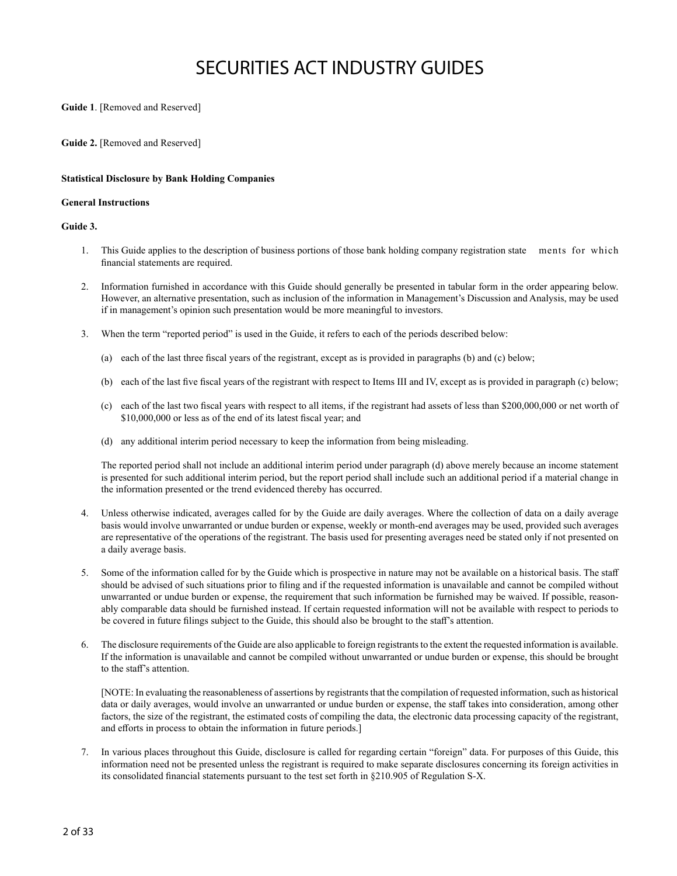## SECURITIES ACT INDUSTRY GUIDES

**Guide 1**. [Removed and Reserved]

**Guide 2.** [Removed and Reserved]

## **Statistical Disclosure by Bank Holding Companies**

## **General Instructions**

## **Guide 3.**

- 1. This Guide applies to the description of business portions of those bank holding company registration state ments for which financial statements are required.
- 2. Information furnished in accordance with this Guide should generally be presented in tabular form in the order appearing below. However, an alternative presentation, such as inclusion of the information in Management's Discussion and Analysis, may be used if in management's opinion such presentation would be more meaningful to investors.
- 3. When the term "reported period" is used in the Guide, it refers to each of the periods described below:
	- (a) each of the last three fiscal years of the registrant, except as is provided in paragraphs (b) and (c) below;
	- (b) each of the last five fiscal years of the registrant with respect to Items III and IV, except as is provided in paragraph (c) below;
	- (c) each of the last two fiscal years with respect to all items, if the registrant had assets of less than \$200,000,000 or net worth of \$10,000,000 or less as of the end of its latest fiscal year; and
	- (d) any additional interim period necessary to keep the information from being misleading.

The reported period shall not include an additional interim period under paragraph (d) above merely because an income statement is presented for such additional interim period, but the report period shall include such an additional period if a material change in the information presented or the trend evidenced thereby has occurred.

- 4. Unless otherwise indicated, averages called for by the Guide are daily averages. Where the collection of data on a daily average basis would involve unwarranted or undue burden or expense, weekly or month-end averages may be used, provided such averages are representative of the operations of the registrant. The basis used for presenting averages need be stated only if not presented on a daily average basis.
- 5. Some of the information called for by the Guide which is prospective in nature may not be available on a historical basis. The staff should be advised of such situations prior to filing and if the requested information is unavailable and cannot be compiled without unwarranted or undue burden or expense, the requirement that such information be furnished may be waived. If possible, reason- ably comparable data should be furnished instead. If certain requested information will not be available with respect to periods to be covered in future filings subject to the Guide, this should also be brought to the staff's attention.
- 6. The disclosure requirements of the Guide are also applicable to foreign registrantsto the extent the requested information is available. to the staff's attention. If the information is unavailable and cannot be compiled without unwarranted or undue burden or expense, this should be brought

[NOTE: In evaluating the reasonableness of assertions by registrants that the compilation of requested information, such as historical data or daily averages, would involve an unwarranted or undue burden or expense, the staff takes into consideration, among other and efforts in process to obtain the information in future periods.] factors, the size of the registrant, the estimated costs of compiling the data, the electronic data processing capacity of the registrant,

 information need not be presented unless the registrant is required to make separate disclosures concerning its foreign activities in its consolidated financial statements pursuant to the test set forth in §210.905 of Regulation S-X. 7. In various places throughout this Guide, disclosure is called for regarding certain "foreign" data. For purposes of this Guide, this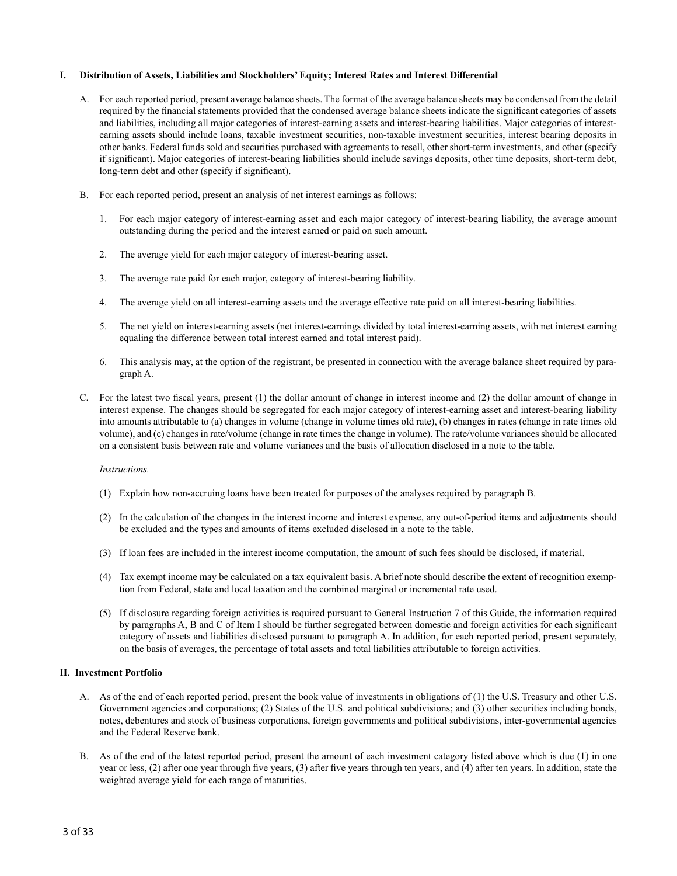## I. Distribution of Assets, Liabilities and Stockholders' Equity; Interest Rates and Interest Differential

- required by the financial statements provided that the condensed average balance sheets indicate the significant categories of assets if significant). Major categories of interest-bearing liabilities should include savings deposits, other time deposits, short-term debt, long-term debt and other (specify if significant). A. For each reported period, present average balance sheets. The format of the average balance sheets may be condensed from the detail and liabilities, including all major categories of interest-earning assets and interest-bearing liabilities. Major categories of interestearning assets should include loans, taxable investment securities, non-taxable investment securities, interest bearing deposits in other banks. Federal funds sold and securities purchased with agreements to resell, other short-term investments, and other (specify
- B. For each reported period, present an analysis of net interest earnings as follows:
	- 1. For each major category of interest-earning asset and each major category of interest-bearing liability, the average amount outstanding during the period and the interest earned or paid on such amount.
	- 2. The average yield for each major category of interest-bearing asset.
	- 3. The average rate paid for each major, category of interest-bearing liability.
	- 4. The average yield on all interest-earning assets and the average effective rate paid on all interest-bearing liabilities.
	- equaling the difference between total interest earned and total interest paid). 5. The net yield on interest-earning assets (net interest-earnings divided by total interest-earning assets, with net interest earning
	- 6. This analysis may, at the option of the registrant, be presented in connection with the average balance sheet required by paragraph A.
- C. For the latest two fiscal years, present (1) the dollar amount of change in interest income and (2) the dollar amount of change in interest expense. The changes should be segregated for each major category of interest-earning asset and interest-bearing liability into amounts attributable to (a) changes in volume (change in volume times old rate), (b) changes in rates (change in rate times old volume), and (c) changes in rate/volume (change in rate times the change in volume). The rate/volume variances should be allocated on a consistent basis between rate and volume variances and the basis of allocation disclosed in a note to the table.

## *Instructions.*

- (1) Explain how non-accruing loans have been treated for purposes of the analyses required by paragraph B.
- (2) In the calculation of the changes in the interest income and interest expense, any out-of-period items and adjustments should be excluded and the types and amounts of items excluded disclosed in a note to the table.
- (3) If loan fees are included in the interest income computation, the amount of such fees should be disclosed, if material.
- (4) Tax exempt income may be calculated on a tax equivalent basis. A brief note should describe the extent of recognition exemption from Federal, state and local taxation and the combined marginal or incremental rate used.
- (5) If disclosure regarding foreign activities is required pursuant to General Instruction 7 of this Guide, the information required by paragraphs A, B and C of Item I should be further segregated between domestic and foreign activities for each significant category of assets and liabilities disclosed pursuant to paragraph A. In addition, for each reported period, present separately, on the basis of averages, the percentage of total assets and total liabilities attributable to foreign activities.

## **II. Investment Portfolio**

- Government agencies and corporations; (2) States of the U.S. and political subdivisions; and (3) other securities including bonds, A. As of the end of each reported period, present the book value of investments in obligations of (1) the U.S. Treasury and other U.S. notes, debentures and stock of business corporations, foreign governments and political subdivisions, inter-governmental agencies and the Federal Reserve bank.
- year or less, (2) after one year through five years, (3) after five years through ten years, and (4) after ten years. In addition, state the B. As of the end of the latest reported period, present the amount of each investment category listed above which is due (1) in one weighted average yield for each range of maturities.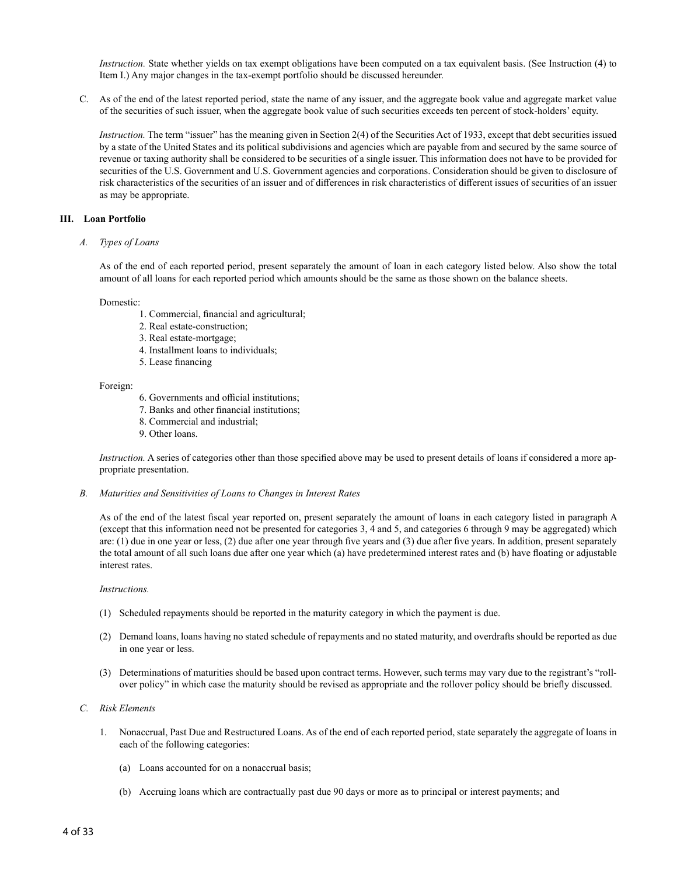*Instruction.* State whether yields on tax exempt obligations have been computed on a tax equivalent basis. (See Instruction (4) to Item I.) Any major changes in the tax-exempt portfolio should be discussed hereunder.

 of the securities of such issuer, when the aggregate book value of such securities exceeds ten percent of stock-holders' equity. C. As of the end of the latest reported period, state the name of any issuer, and the aggregate book value and aggregate market value

 *Instruction.* The term "issuer" has the meaning given in Section 2(4) of the Securities Act of 1933, except that debt securities issued risk characteristics of the securities of an issuer and of differences in risk characteristics of different issues of securities of an issuer by a state of the United States and its political subdivisions and agencies which are payable from and secured by the same source of revenue or taxing authority shall be considered to be securities of a single issuer. This information does not have to be provided for securities of the U.S. Government and U.S. Government agencies and corporations. Consideration should be given to disclosure of as may be appropriate.

## **III. Loan Portfolio**

*A. Types of Loans* 

As of the end of each reported period, present separately the amount of loan in each category listed below. Also show the total amount of all loans for each reported period which amounts should be the same as those shown on the balance sheets.

## Domestic:

- 1. Commercial, financial and agricultural;
- 2. Real estate-construction;
	- 3. Real estate-mortgage;
- 4. Installment loans to individuals;
- 5. Lease financing

#### Foreign:

- 6. Governments and official institutions;
- 7. Banks and other financial institutions;
- 8. Commercial and industrial;
- 9. Other loans.

 *Instruction.* A series of categories other than those specified above may be used to present details of loans if considered a more appropriate presentation.

*B. Maturities and Sensitivities of Loans to Changes in Interest Rates* 

 As of the end of the latest fiscal year reported on, present separately the amount of loans in each category listed in paragraph A (except that this information need not be presented for categories 3, 4 and 5, and categories 6 through 9 may be aggregated) which are: (1) due in one year or less, (2) due after one year through five years and (3) due after five years. In addition, present separately the total amount of all such loans due after one year which (a) have predetermined interest rates and (b) have floating or adjustable interest rates.

## *Instructions.*

- (1) Scheduled repayments should be reported in the maturity category in which the payment is due.
- (2) Demand loans, loans having no stated schedule of repayments and no stated maturity, and overdrafts should be reported as due in one year or less.
- over policy" in which case the maturity should be revised as appropriate and the rollover policy should be briefly discussed. (3) Determinations of maturities should be based upon contract terms. However, such terms may vary due to the registrant's "roll-

## *C. Risk Elements*

- 1. Nonaccrual, Past Due and Restructured Loans. As of the end of each reported period, state separately the aggregate of loans in each of the following categories:
	- (a) Loans accounted for on a nonaccrual basis;
	- (b) Accruing loans which are contractually past due 90 days or more as to principal or interest payments; and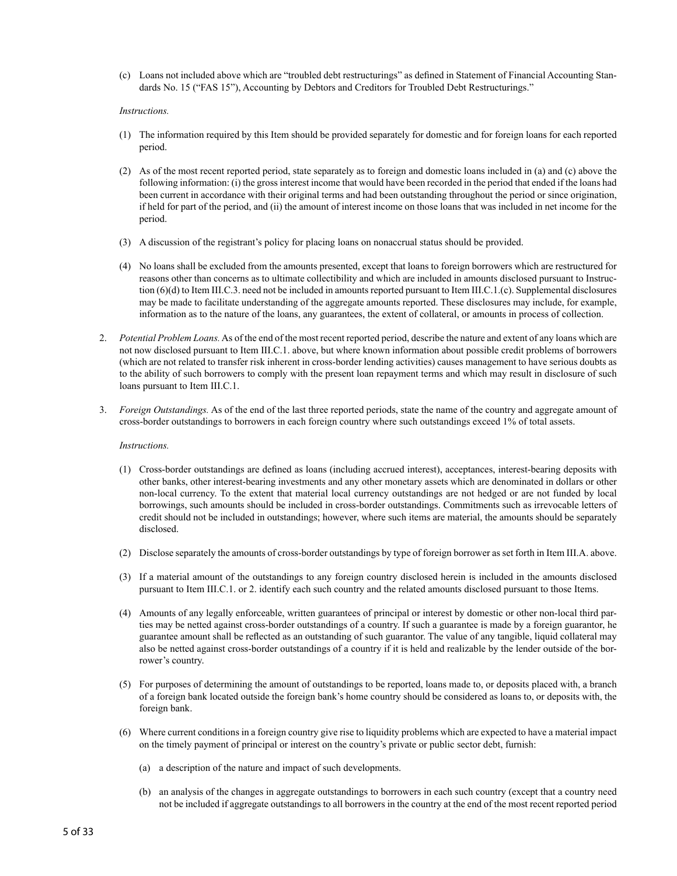(c) Loans not included above which are "troubled debt restructurings" as defined in Statement of Financial Accounting Standards No. 15 ("FAS 15"), Accounting by Debtors and Creditors for Troubled Debt Restructurings."

## *Instructions.*

- (1) The information required by this Item should be provided separately for domestic and for foreign loans for each reported period.
- (2) As of the most recent reported period, state separately as to foreign and domestic loans included in (a) and (c) above the following information: (i) the gross interest income that would have been recorded in the period that ended if the loans had been current in accordance with their original terms and had been outstanding throughout the period or since origination, if held for part of the period, and (ii) the amount of interest income on those loans that was included in net income for the period.
- (3) A discussion of the registrant's policy for placing loans on nonaccrual status should be provided.
- (4) No loans shall be excluded from the amounts presented, except that loans to foreign borrowers which are restructured for reasons other than concerns as to ultimate collectibility and which are included in amounts disclosed pursuant to Instruction (6)(d) to Item III.C.3. need not be included in amounts reported pursuant to Item III.C.1.(c). Supplemental disclosures may be made to facilitate understanding of the aggregate amounts reported. These disclosures may include, for example, information as to the nature of the loans, any guarantees, the extent of collateral, or amounts in process of collection.
- 2. *Potential Problem Loans.* As of the end of the most recent reported period, describe the nature and extent of any loans which are not now disclosed pursuant to Item III.C.1. above, but where known information about possible credit problems of borrowers (which are not related to transfer risk inherent in cross-border lending activities) causes management to have serious doubts as to the ability of such borrowers to comply with the present loan repayment terms and which may result in disclosure of such loans pursuant to Item III.C.1.
- 3. *Foreign Outstandings.* As of the end of the last three reported periods, state the name of the country and aggregate amount of cross-border outstandings to borrowers in each foreign country where such outstandings exceed 1% of total assets.

## *Instructions.*

- (1) Cross-border outstandings are defined as loans (including accrued interest), acceptances, interest-bearing deposits with credit should not be included in outstandings; however, where such items are material, the amounts should be separately other banks, other interest-bearing investments and any other monetary assets which are denominated in dollars or other non-local currency. To the extent that material local currency outstandings are not hedged or are not funded by local borrowings, such amounts should be included in cross-border outstandings. Commitments such as irrevocable letters of disclosed.
- (2) Disclose separately the amounts of cross-border outstandings by type of foreign borrower as set forth in Item III.A. above.
- (3) If a material amount of the outstandings to any foreign country disclosed herein is included in the amounts disclosed pursuant to Item III.C.1. or 2. identify each such country and the related amounts disclosed pursuant to those Items.
- guarantee amount shall be reflected as an outstanding of such guarantor. The value of any tangible, liquid collateral may (4) Amounts of any legally enforceable, written guarantees of principal or interest by domestic or other non-local third parties may be netted against cross-border outstandings of a country. If such a guarantee is made by a foreign guarantor, he also be netted against cross-border outstandings of a country if it is held and realizable by the lender outside of the borrower's country.
- (5) For purposes of determining the amount of outstandings to be reported, loans made to, or deposits placed with, a branch of a foreign bank located outside the foreign bank's home country should be considered as loans to, or deposits with, the foreign bank.
- (6) Where current conditions in a foreign country give rise to liquidity problems which are expected to have a material impact on the timely payment of principal or interest on the country's private or public sector debt, furnish:
	- (a) a description of the nature and impact of such developments.
	- (b) an analysis of the changes in aggregate outstandings to borrowers in each such country (except that a country need not be included if aggregate outstandings to all borrowers in the country at the end of the most recent reported period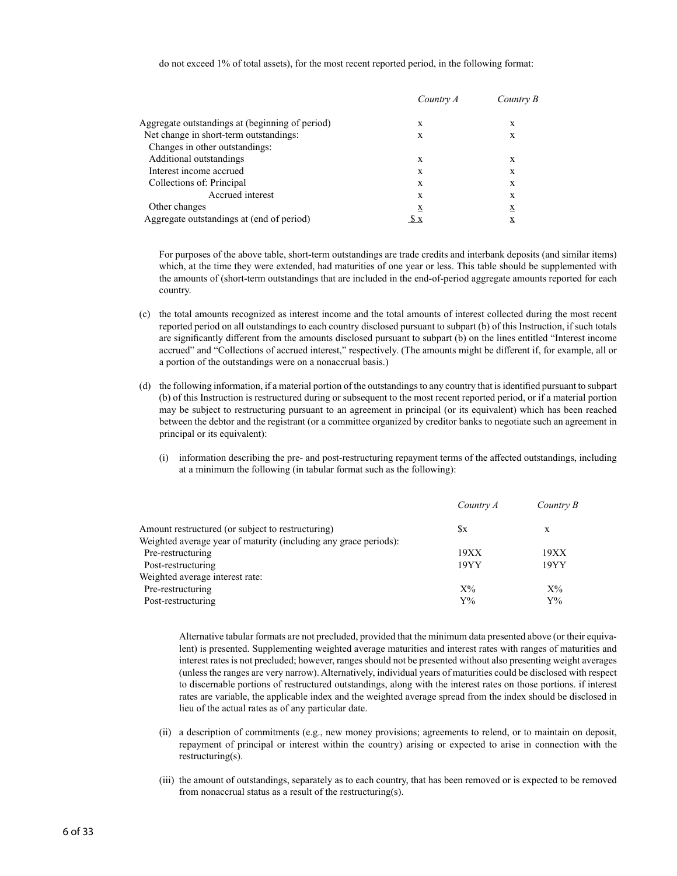#### do not exceed 1% of total assets), for the most recent reported period, in the following format:

|                                                 | Country A | Country B                |
|-------------------------------------------------|-----------|--------------------------|
| Aggregate outstandings at (beginning of period) | X         | X                        |
| Net change in short-term outstandings:          | X         | X                        |
| Changes in other outstandings:                  |           |                          |
| Additional outstandings                         | X         | X                        |
| Interest income accrued                         | X         | X                        |
| Collections of: Principal                       | X         | X                        |
| Accrued interest                                | X         | X                        |
| Other changes                                   | ≚         | $\underline{\mathbf{X}}$ |
| Aggregate outstandings at (end of period)       |           | $\overline{\textbf{X}}$  |

For purposes of the above table, short-term outstandings are trade credits and interbank deposits (and similar items) which, at the time they were extended, had maturities of one year or less. This table should be supplemented with the amounts of (short-term outstandings that are included in the end-of-period aggregate amounts reported for each country.

- are significantly different from the amounts disclosed pursuant to subpart (b) on the lines entitled "Interest income accrued" and "Collections of accrued interest," respectively. (The amounts might be different if, for example, all or (c) the total amounts recognized as interest income and the total amounts of interest collected during the most recent reported period on all outstandings to each country disclosed pursuant to subpart (b) of this Instruction, if such totals a portion of the outstandings were on a nonaccrual basis.)
- (d) the following information, if a material portion of the outstandingsto any country that isidentified pursuant to subpart (b) of this Instruction is restructured during or subsequent to the most recent reported period, or if a material portion may be subject to restructuring pursuant to an agreement in principal (or its equivalent) which has been reached principal or its equivalent): between the debtor and the registrant (or a committee organized by creditor banks to negotiate such an agreement in
	- (i) information describing the pre- and post-restructuring repayment terms of the affected outstandings, including at a minimum the following (in tabular format such as the following):

|                                                                  | Country A   | Country $B$ |
|------------------------------------------------------------------|-------------|-------------|
| Amount restructured (or subject to restructuring)                | \$x         | X           |
| Weighted average year of maturity (including any grace periods): |             |             |
| Pre-restructuring                                                | 19XX        | 19XX        |
| Post-restructuring                                               | 19YY        | 19YY        |
| Weighted average interest rate:                                  |             |             |
| Pre-restructuring                                                | $X\%$       | $X\%$       |
| Post-restructuring                                               | ${\rm Y\%}$ | Y%          |
|                                                                  |             |             |

 Alternative tabular formats are not precluded, provided that the minimum data presented above (or their equiva- interest rates is not precluded; however, ranges should not be presented without also presenting weight averages lent) is presented. Supplementing weighted average maturities and interest rates with ranges of maturities and (unless the ranges are very narrow). Alternatively, individual years of maturities could be disclosed with respect to discernable portions of restructured outstandings, along with the interest rates on those portions. if interest rates are variable, the applicable index and the weighted average spread from the index should be disclosed in lieu of the actual rates as of any particular date.

- (ii) a description of commitments (e.g., new money provisions; agreements to relend, or to maintain on deposit, repayment of principal or interest within the country) arising or expected to arise in connection with the restructuring(s).
- (iii) the amount of outstandings, separately as to each country, that has been removed or is expected to be removed from nonaccrual status as a result of the restructuring(s).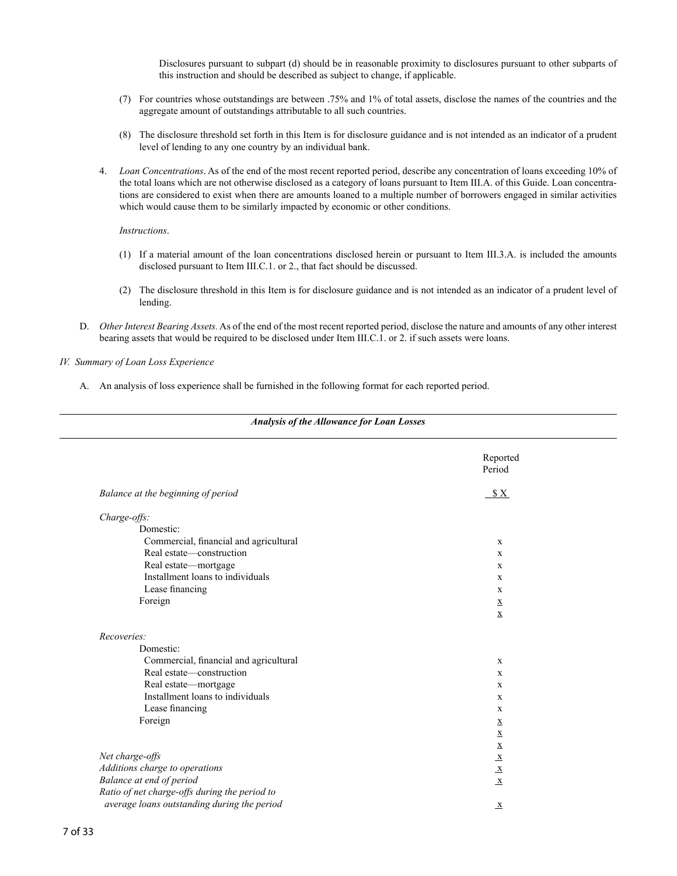Disclosures pursuant to subpart (d) should be in reasonable proximity to disclosures pursuant to other subparts of this instruction and should be described as subject to change, if applicable.

- (7) For countries whose outstandings are between .75% and 1% of total assets, disclose the names of the countries and the aggregate amount of outstandings attributable to all such countries.
- (8) The disclosure threshold set forth in this Item is for disclosure guidance and is not intended as an indicator of a prudent level of lending to any one country by an individual bank.
- 4. *Loan Concentrations*. As of the end of the most recent reported period, describe any concentration of loans exceeding 10% of the total loans which are not otherwise disclosed as a category of loans pursuant to Item III.A. of this Guide. Loan concentrations are considered to exist when there are amounts loaned to a multiple number of borrowers engaged in similar activities which would cause them to be similarly impacted by economic or other conditions.

## *Instructions*.

- (1) If a material amount of the loan concentrations disclosed herein or pursuant to Item III.3.A. is included the amounts disclosed pursuant to Item III.C.1. or 2., that fact should be discussed.
- (2) The disclosure threshold in this Item is for disclosure guidance and is not intended as an indicator of a prudent level of lending.
- bearing assets that would be required to be disclosed under Item III.C.1. or 2. if such assets were loans. D. *Other Interest Bearing Assets.* As of the end of the most recent reported period, disclose the nature and amounts of any other interest

#### *IV. Summary of Loan Loss Experience*

 $\overline{a}$ 

A. An analysis of loss experience shall be furnished in the following format for each reported period.

|                                               | Reported<br>Period       |
|-----------------------------------------------|--------------------------|
| Balance at the beginning of period            | S X                      |
| Charge-offs:                                  |                          |
| Domestic:                                     |                          |
| Commercial, financial and agricultural        | X                        |
| Real estate—construction                      | $\mathbf{x}$             |
| Real estate-mortgage                          | X                        |
| Installment loans to individuals              | X                        |
| Lease financing                               | X                        |
| Foreign                                       | $\underline{X}$          |
|                                               | $\underline{\mathbf{X}}$ |
| Recoveries:                                   |                          |
| Domestic:                                     |                          |
| Commercial, financial and agricultural        | X                        |
| Real estate-construction                      | X                        |
| Real estate-mortgage                          | X                        |
| Installment loans to individuals              | X                        |
| Lease financing                               | X                        |
| Foreign                                       | $\underline{x}$          |
|                                               | $\underline{\mathbf{X}}$ |
|                                               | $\underline{\mathbf{X}}$ |
| Net charge-offs                               | $\mathbf{X}$             |
| Additions charge to operations                | $\mathbf{X}$             |
| Balance at end of period                      | $\mathbf{x}$             |
| Ratio of net charge-offs during the period to |                          |
| average loans outstanding during the period   | $\underline{\mathbf{X}}$ |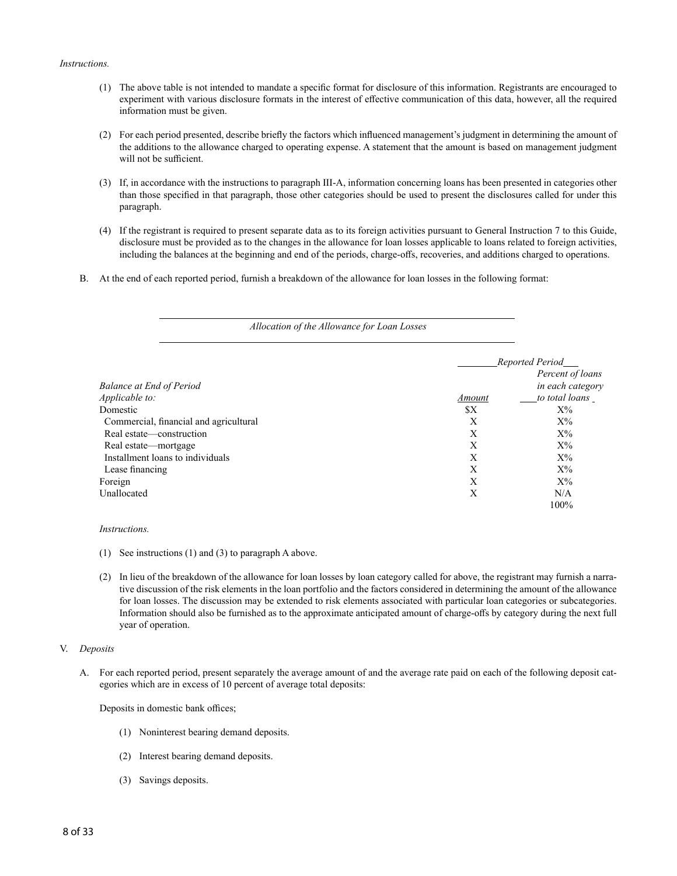- (1) The above table is not intended to mandate a specific format for disclosure of this information. Registrants are encouraged to experiment with various disclosure formats in the interest of effective communication of this data, however, all the required information must be given.
- (2) For each period presented, describe briefly the factors which influenced management's judgment in determining the amount of will not be sufficient. the additions to the allowance charged to operating expense. A statement that the amount is based on management judgment
- than those specified in that paragraph, those other categories should be used to present the disclosures called for under this (3) If, in accordance with the instructions to paragraph III-A, information concerning loans has been presented in categories other paragraph.
- (4) If the registrant is required to present separate data as to its foreign activities pursuant to General Instruction 7 to this Guide, including the balances at the beginning and end of the periods, charge-offs, recoveries, and additions charged to operations. disclosure must be provided as to the changes in the allowance for loan losses applicable to loans related to foreign activities,
- B. At the end of each reported period, furnish a breakdown of the allowance for loan losses in the following format:

*Allocation of the Allowance for Loan Losses* 

|                                        |        | Reported Period___ |
|----------------------------------------|--------|--------------------|
|                                        |        | Percent of loans   |
| <b>Balance at End of Period</b>        |        | in each category   |
| Applicable to:                         | Amount | to total loans     |
| Domestic                               | \$X    | $X\%$              |
| Commercial, financial and agricultural | Х      | $X\%$              |
| Real estate—construction               | Х      | $X\%$              |
| Real estate-mortgage                   | Х      | $X\%$              |
| Installment loans to individuals       | X      | $X\%$              |
| Lease financing                        | Х      | $X\%$              |
| Foreign                                | Х      | $X\%$              |
| Unallocated                            | Х      | N/A                |
|                                        |        | 100%               |

## *Instructions.*

 $\overline{a}$ 

- (1) See instructions (1) and (3) to paragraph A above.
- Information should also be furnished as to the approximate anticipated amount of charge-offs by category during the next full (2) In lieu of the breakdown of the allowance for loan losses by loan category called for above, the registrant may furnish a narrative discussion of the risk elements in the loan portfolio and the factors considered in determining the amount of the allowance for loan losses. The discussion may be extended to risk elements associated with particular loan categories or subcategories. year of operation.

## V. *Deposits*

A. For each reported period, present separately the average amount of and the average rate paid on each of the following deposit categories which are in excess of 10 percent of average total deposits:

 Deposits in domestic bank offices;

- (1) Noninterest bearing demand deposits.
- (2) Interest bearing demand deposits.
- (3) Savings deposits.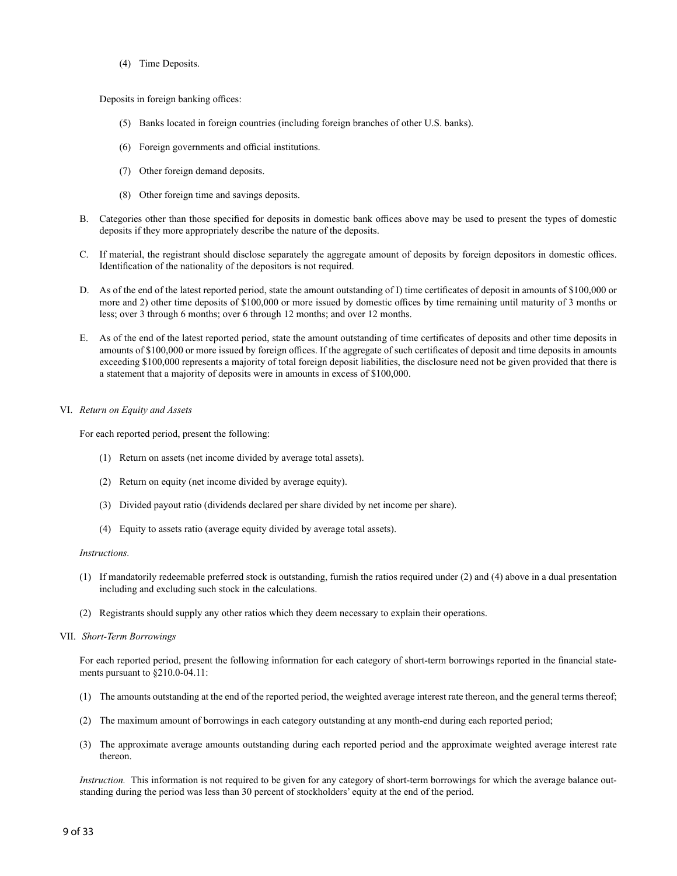(4) Time Deposits.

 Deposits in foreign banking offices:

- (5) Banks located in foreign countries (including foreign branches of other U.S. banks).
- (6) Foreign governments and official institutions.
- (7) Other foreign demand deposits.
- (8) Other foreign time and savings deposits.
- B. Categories other than those specified for deposits in domestic bank offices above may be used to present the types of domestic deposits if they more appropriately describe the nature of the deposits.
- C. If material, the registrant should disclose separately the aggregate amount of deposits by foreign depositors in domestic offices. Identification of the nationality of the depositors is not required.
- D. As of the end of the latest reported period, state the amount outstanding of I) time certificates of deposit in amounts of \$100,000 or more and 2) other time deposits of \$100,000 or more issued by domestic offices by time remaining until maturity of 3 months or less; over 3 through 6 months; over 6 through 12 months; and over 12 months.
- E. As of the end of the latest reported period, state the amount outstanding of time certificates of deposits and other time deposits in amounts of \$100,000 or more issued by foreign offices. If the aggregate of such certificates of deposit and time deposits in amounts exceeding \$100,000 represents a majority of total foreign deposit liabilities, the disclosure need not be given provided that there is a statement that a majority of deposits were in amounts in excess of \$100,000.

## VI. *Return on Equity and Assets*

For each reported period, present the following:

- (1) Return on assets (net income divided by average total assets).
- (2) Return on equity (net income divided by average equity).
- (3) Divided payout ratio (dividends declared per share divided by net income per share).
- (4) Equity to assets ratio (average equity divided by average total assets).

## *Instructions.*

- (1) If mandatorily redeemable preferred stock is outstanding, furnish the ratios required under (2) and (4) above in a dual presentation including and excluding such stock in the calculations.
- (2) Registrants should supply any other ratios which they deem necessary to explain their operations.

## VII. *Short-Term Borrowings*

 For each reported period, present the following information for each category of short-term borrowings reported in the financial state- ments pursuant to §[210.0-04.11:](https://210.0-04.11)

- (1) The amounts outstanding at the end of the reported period, the weighted average interest rate thereon, and the general terms thereof;
- (2) The maximum amount of borrowings in each category outstanding at any month-end during each reported period;
- (3) The approximate average amounts outstanding during each reported period and the approximate weighted average interest rate thereon.

 *Instruction.* This information is not required to be given for any category of short-term borrowings for which the average balance out- standing during the period was less than 30 percent of stockholders' equity at the end of the period.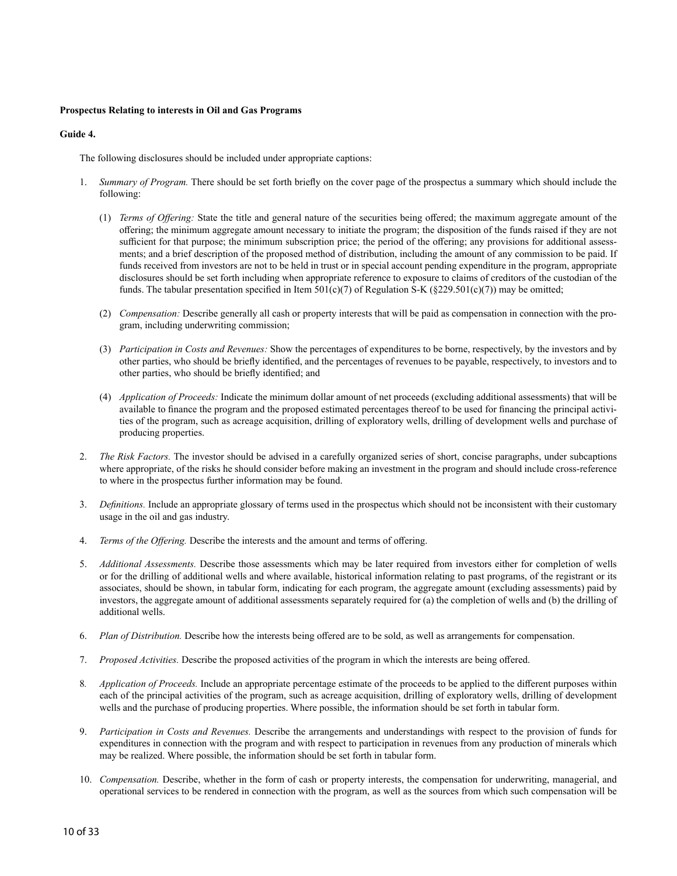## **Prospectus Relating to interests in Oil and Gas Programs**

## **Guide 4.**

The following disclosures should be included under appropriate captions:

- 1. *Summary of Program.* There should be set forth briefly on the cover page of the prospectus a summary which should include the following:
	- (1) *Terms of Offering:* State the title and general nature of the securities being offered; the maximum aggregate amount of the offering; the minimum aggregate amount necessary to initiate the program; the disposition of the funds raised if they are not sufficient for that purpose; the minimum subscription price; the period of the offering; any provisions for additional assess- ments; and a brief description of the proposed method of distribution, including the amount of any commission to be paid. If funds. The tabular presentation specified in Item  $501(c)(7)$  of Regulation S-K ( $\S229.501(c)(7)$ ) may be omitted; funds received from investors are not to be held in trust or in special account pending expenditure in the program, appropriate disclosures should be set forth including when appropriate reference to exposure to claims of creditors of the custodian of the
	- gram, including underwriting commission; (2) *Compensation:* Describe generally all cash or property interests that will be paid as compensation in connection with the pro-
	- (3) *Participation in Costs and Revenues:* Show the percentages of expenditures to be borne, respectively, by the investors and by other parties, who should be briefly identified, and the percentages of revenues to be payable, respectively, to investors and to other parties, who should be briefly identified; and
	- (4) *Application of Proceeds:* Indicate the minimum dollar amount of net proceeds (excluding additional assessments) that will be available to finance the program and the proposed estimated percentages thereof to be used for financing the principal activi- ties of the program, such as acreage acquisition, drilling of exploratory wells, drilling of development wells and purchase of producing properties.
- 2. *The Risk Factors.* The investor should be advised in a carefully organized series of short, concise paragraphs, under subcaptions where appropriate, of the risks he should consider before making an investment in the program and should include cross-reference to where in the prospectus further information may be found.
- 3. *Definitions.* Include an appropriate glossary of terms used in the prospectus which should not be inconsistent with their customary usage in the oil and gas industry.
- 4. *Terms of the Offering.* Describe the interests and the amount and terms of offering.
- 5. *Additional Assessments.* Describe those assessments which may be later required from investors either for completion of wells investors, the aggregate amount of additional assessments separately required for (a) the completion of wells and (b) the drilling of or for the drilling of additional wells and where available, historical information relating to past programs, of the registrant or its associates, should be shown, in tabular form, indicating for each program, the aggregate amount (excluding assessments) paid by additional wells.
- 6. *Plan of Distribution.* Describe how the interests being offered are to be sold, as well as arrangements for compensation.
- 7. *Proposed Activities.* Describe the proposed activities of the program in which the interests are being offered.
- 8*. Application of Proceeds.* Include an appropriate percentage estimate of the proceeds to be applied to the different purposes within each of the principal activities of the program, such as acreage acquisition, drilling of exploratory wells, drilling of development wells and the purchase of producing properties. Where possible, the information should be set forth in tabular form.
- 9. *Participation in Costs and Revenues.* Describe the arrangements and understandings with respect to the provision of funds for expenditures in connection with the program and with respect to participation in revenues from any production of minerals which may be realized. Where possible, the information should be set forth in tabular form.
- 10. *Compensation.* Describe, whether in the form of cash or property interests, the compensation for underwriting, managerial, and operational services to be rendered in connection with the program, as well as the sources from which such compensation will be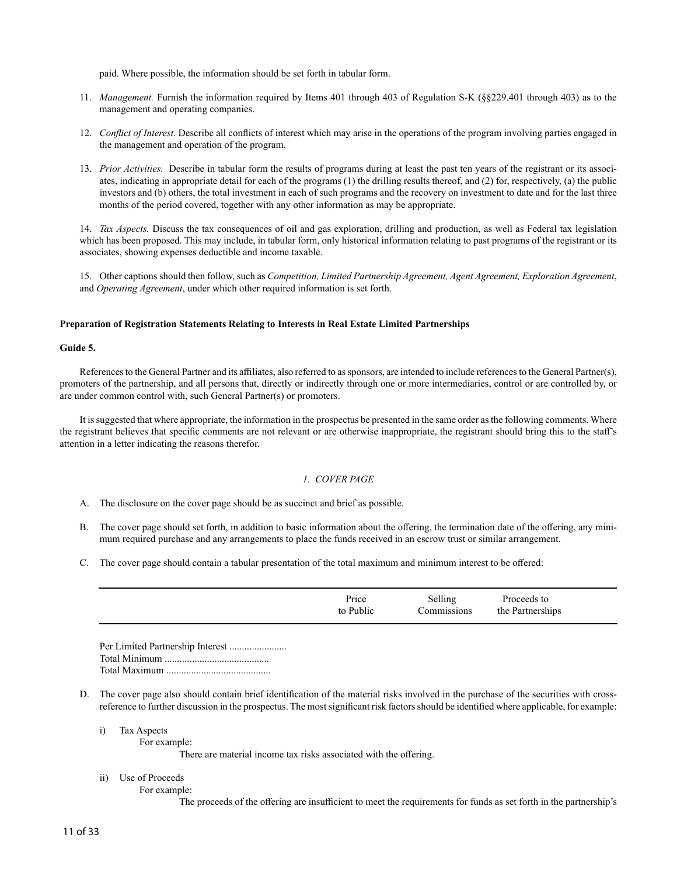paid. Where possible, the information should be set forth in tabular form.

- 11. *Management.* Furnish the information required by Items 401 through 403 of Regulation S-K (§§229.401 through 403) as to the management and operating companies.
- 12. *Conflict of Interest*. Describe all conflicts of interest which may arise in the operations of the program involving parties engaged in the management and operation of the program.
- 13. *Prior Activities.* Describe in tabular form the results of programs during at least the past ten years of the registrant or its associates, indicating in appropriate detail for each of the programs (1) the drilling results thereof, and (2) for, respectively, (a) the public investors and (b) others, the total investment in each of such programs and the recovery on investment to date and for the last three months of the period covered, together with any other information as may be appropriate.

 14. *Tax Aspects.* Discuss the tax consequences of oil and gas exploration, drilling and production, as well as Federal tax legislation which has been proposed. This may include, in tabular form, only historical information relating to past programs of the registrant or its associates, showing expenses deductible and income taxable.

 and *Operating Agreement*, under which other required information is set forth. 15. Other captions should then follow, such as *Competition, Limited Partnership Agreement, Agent Agreement, Exploration Agreement*,

## **Preparation of Registration Statements Relating to Interests in Real Estate Limited Partnerships**

## **Guide 5.**

References to the General Partner and its affiliates, also referred to as sponsors, are intended to include references to the General Partner(s), promoters of the partnership, and all persons that, directly or indirectly through one or more intermediaries, control or are controlled by, or are under common control with, such General Partner(s) or promoters.

 the registrant believes that specific comments are not relevant or are otherwise inappropriate, the registrant should bring this to the staff's It is suggested that where appropriate, the information in the prospectus be presented in the same order as the following comments. Where attention in a letter indicating the reasons therefor.

## *1. COVER PAGE*

- A. The disclosure on the cover page should be as succinct and brief as possible.
- B. The cover page should set forth, in addition to basic information about the offering, the termination date of the offering, any mini- mum required purchase and any arrangements to place the funds received in an escrow trust or similar arrangement.
- C. The cover page should contain a tabular presentation of the total maximum and minimum interest to be offered:

| Price<br>to Public | Selling<br><b>Commissions</b> | Proceeds to<br>the Partnerships |  |
|--------------------|-------------------------------|---------------------------------|--|
|                    |                               |                                 |  |

Per Limited Partnership Interest ....................... Total Minimum .......................................... Total Maximum ..........................................

- D. The cover page also should contain brief identification of the material risks involved in the purchase of the securities with cross- reference to further discussion in the prospectus. The mostsignificant risk factorsshould be identified where applicable, for example:
	- i) Tax Aspects
		- For example:

 There are material income tax risks associated with the offering.

ii) Use of Proceeds

For example:

 The proceeds of the offering are insufficient to meet the requirements for funds as set forth in the partnership's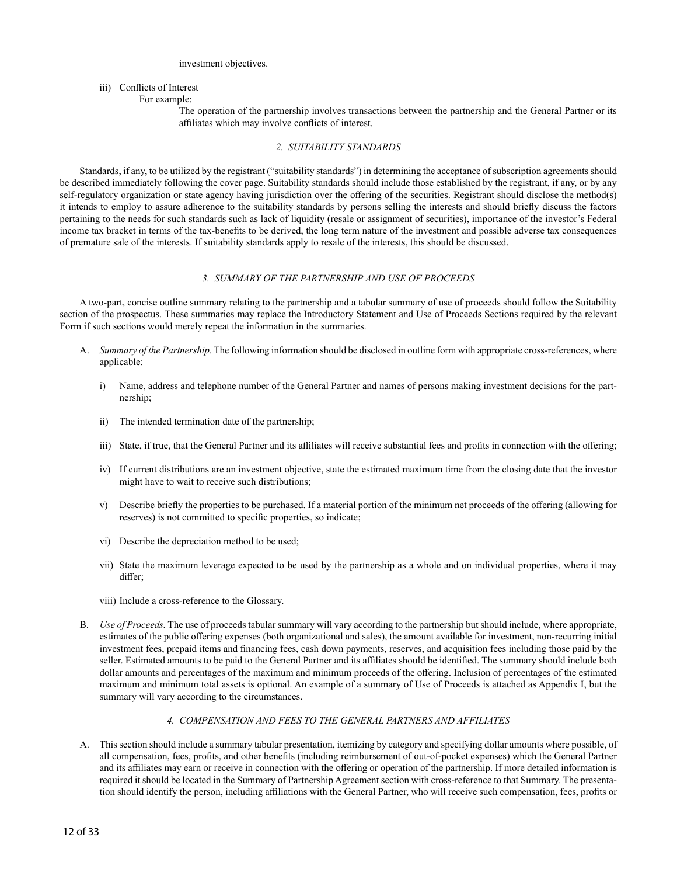#### investment objectives.

#### iii) Conflicts of Interest

For example:

 affiliates which may involve conflicts of interest. The operation of the partnership involves transactions between the partnership and the General Partner or its

## *2. SUITABILITY STANDARDS*

 self-regulatory organization or state agency having jurisdiction over the offering of the securities. Registrant should disclose the method(s) it intends to employ to assure adherence to the suitability standards by persons selling the interests and should briefly discuss the factors pertaining to the needs for such standards such as lack of liquidity (resale or assignment of securities), importance of the investor's Federal income tax bracket in terms of the tax-benefits to be derived, the long term nature of the investment and possible adverse tax consequences Standards, if any, to be utilized by the registrant ("suitability standards") in determining the acceptance of subscription agreements should be described immediately following the cover page. Suitability standards should include those established by the registrant, if any, or by any of premature sale of the interests. If suitability standards apply to resale of the interests, this should be discussed.

## *3. SUMMARY OF THE PARTNERSHIP AND USE OF PROCEEDS*

 section of the prospectus. These summaries may replace the Introductory Statement and Use of Proceeds Sections required by the relevant A two-part, concise outline summary relating to the partnership and a tabular summary of use of proceeds should follow the Suitability Form if such sections would merely repeat the information in the summaries.

- A. *Summary of the Partnership.* The following information should be disclosed in outline form with appropriate cross-references, where applicable:
	- i) Name, address and telephone number of the General Partner and names of persons making investment decisions for the partnership;
	- ii) The intended termination date of the partnership;
	- iii) State, if true, that the General Partner and its affiliates will receive substantial fees and profits in connection with the offering;
	- might have to wait to receive such distributions; iv) If current distributions are an investment objective, state the estimated maximum time from the closing date that the investor
	- v) Describe briefly the properties to be purchased. If a material portion of the minimum net proceeds of the offering (allowing for reserves) is not committed to specific properties, so indicate;
	- vi) Describe the depreciation method to be used;
	- vii) State the maximum leverage expected to be used by the partnership as a whole and on individual properties, where it may differ;
	- viii) Include a cross-reference to the Glossary.
- estimates of the public offering expenses (both organizational and sales), the amount available for investment, non-recurring initial investment fees, prepaid items and financing fees, cash down payments, reserves, and acquisition fees including those paid by the seller. Estimated amounts to be paid to the General Partner and its affiliates should be identified. The summary should include both dollar amounts and percentages of the maximum and minimum proceeds of the offering. Inclusion of percentages of the estimated B. *Use of Proceeds.* The use of proceeds tabular summary will vary according to the partnership but should include, where appropriate, maximum and minimum total assets is optional. An example of a summary of Use of Proceeds is attached as Appendix I, but the summary will vary according to the circumstances.

#### *4. COMPENSATION AND FEES TO THE GENERAL PARTNERS AND AFFILIATES*

 all compensation, fees, profits, and other benefits (including reimbursement of out-of-pocket expenses) which the General Partner and its affiliates may earn or receive in connection with the offering or operation of the partnership. If more detailed information is required it should be located in the Summary of Partnership Agreement section with cross-reference to that Summary. The presenta- tion should identify the person, including affiliations with the General Partner, who will receive such compensation, fees, profits or A. This section should include a summary tabular presentation, itemizing by category and specifying dollar amounts where possible, of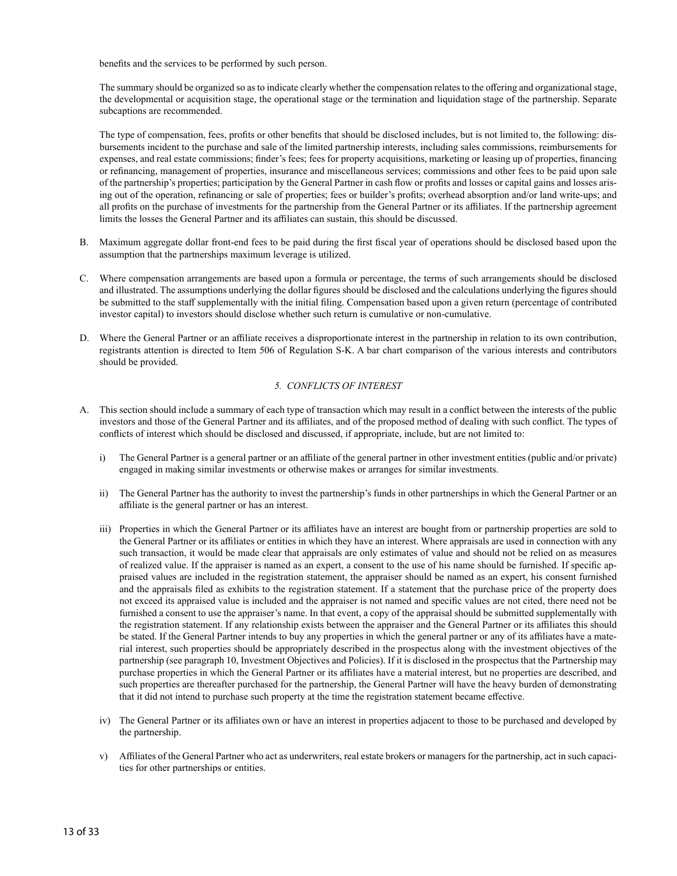benefits and the services to be performed by such person.

The summary should be organized so as to indicate clearly whether the compensation relates to the offering and organizational stage, the developmental or acquisition stage, the operational stage or the termination and liquidation stage of the partnership. Separate subcaptions are recommended.

 The type of compensation, fees, profits or other benefits that should be disclosed includes, but is not limited to, the following: dis- expenses, and real estate commissions; finder's fees; fees for property acquisitions, marketing or leasing up of properties, financing or refinancing, management of properties, insurance and miscellaneous services; commissions and other fees to be paid upon sale of the partnership's properties; participation by the General Partner in cash flow or profits and losses or capital gains and losses aris- ing out of the operation, refinancing or sale of properties; fees or builder's profits; overhead absorption and/or land write-ups; and all profits on the purchase of investments for the partnership from the General Partner or its affiliates. If the partnership agreement limits the losses the General Partner and its affiliates can sustain, this should be discussed. bursements incident to the purchase and sale of the limited partnership interests, including sales commissions, reimbursements for

- B. Maximum aggregate dollar front-end fees to be paid during the first fiscal year of operations should be disclosed based upon the assumption that the partnerships maximum leverage is utilized.
- and illustrated. The assumptions underlying the dollar figures should be disclosed and the calculations underlying the figures should be submitted to the staff supplementally with the initial filing. Compensation based upon a given return (percentage of contributed C. Where compensation arrangements are based upon a formula or percentage, the terms of such arrangements should be disclosed investor capital) to investors should disclose whether such return is cumulative or non-cumulative.
- D. Where the General Partner or an affiliate receives a disproportionate interest in the partnership in relation to its own contribution, registrants attention is directed to Item 506 of Regulation S-K. A bar chart comparison of the various interests and contributors should be provided.

## *5. CONFLICTS OF INTEREST*

- A. This section should include a summary of each type of transaction which may result in a conflict between the interests of the public investors and those of the General Partner and its affiliates, and of the proposed method of dealing with such conflict. The types of conflicts of interest which should be disclosed and discussed, if appropriate, include, but are not limited to:
	- i) The General Partner is a general partner or an affiliate of the general partner in other investment entities (public and/or private) engaged in making similar investments or otherwise makes or arranges for similar investments.
	- affiliate is the general partner or has an interest. ii) The General Partner has the authority to invest the partnership's funds in other partnerships in which the General Partner or an
	- iii) Properties in which the General Partner or its affiliates have an interest are bought from or partnership properties are sold to the General Partner or its affiliates or entities in which they have an interest. Where appraisals are used in connection with any of realized value. If the appraiser is named as an expert, a consent to the use of his name should be furnished. If specific ap- and the appraisals filed as exhibits to the registration statement. If a statement that the purchase price of the property does not exceed its appraised value is included and the appraiser is not named and specific values are not cited, there need not be the registration statement. If any relationship exists between the appraiser and the General Partner or its affiliates this should be stated. If the General Partner intends to buy any properties in which the general partner or any of its affiliates have a mate- purchase properties in which the General Partner or its affiliates have a material interest, but no properties are described, and that it did not intend to purchase such property at the time the registration statement became effective. such transaction, it would be made clear that appraisals are only estimates of value and should not be relied on as measures praised values are included in the registration statement, the appraiser should be named as an expert, his consent furnished furnished a consent to use the appraiser's name. In that event, a copy of the appraisal should be submitted supplementally with rial interest, such properties should be appropriately described in the prospectus along with the investment objectives of the partnership (see paragraph 10, Investment Objectives and Policies). If it is disclosed in the prospectus that the Partnership may such properties are thereafter purchased for the partnership, the General Partner will have the heavy burden of demonstrating
	- iv) The General Partner or its affiliates own or have an interest in properties adjacent to those to be purchased and developed by the partnership.
	- v) Affiliates of the General Partner who act as underwriters, real estate brokers or managers for the partnership, act in such capacities for other partnerships or entities.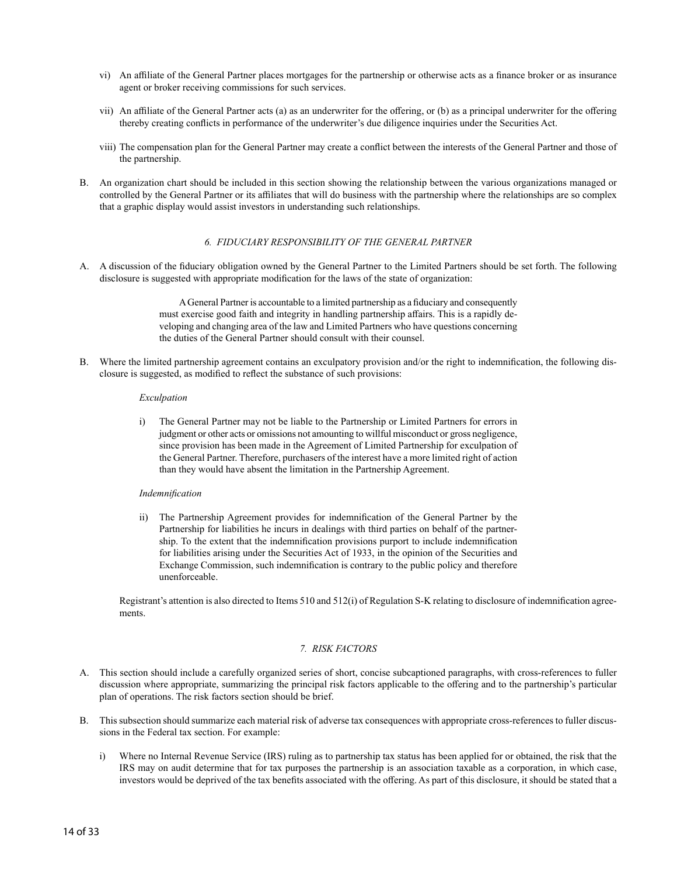- vi) An affiliate of the General Partner places mortgages for the partnership or otherwise acts as a finance broker or as insurance agent or broker receiving commissions for such services.
- vii) An affiliate of the General Partner acts (a) as an underwriter for the offering, or (b) as a principal underwriter for the offering thereby creating conflicts in performance of the underwriter's due diligence inquiries under the Securities Act.
- viii) The compensation plan for the General Partner may create a conflict between the interests of the General Partner and those of the partnership.
- controlled by the General Partner or its affiliates that will do business with the partnership where the relationships are so complex B. An organization chart should be included in this section showing the relationship between the various organizations managed or that a graphic display would assist investors in understanding such relationships.

## *6. FIDUCIARY RESPONSIBILITY OF THE GENERAL PARTNER*

A. A discussion of the fiduciary obligation owned by the General Partner to the Limited Partners should be set forth. The following disclosure is suggested with appropriate modification for the laws of the state of organization:

> AGeneral Partner is accountable to a limited partnership as a fiduciary and consequently must exercise good faith and integrity in handling partnership affairs. This is a rapidly de- veloping and changing area of the law and Limited Partners who have questions concerning the duties of the General Partner should consult with their counsel.

B. Where the limited partnership agreement contains an exculpatory provision and/or the right to indemnification, the following dis- closure is suggested, as modified to reflect the substance of such provisions:

## *Exculpation*

i) The General Partner may not be liable to the Partnership or Limited Partners for errors in judgment or other acts or omissions not amounting to willful misconduct or gross negligence, since provision has been made in the Agreement of Limited Partnership for exculpation of the General Partner. Therefore, purchasers of the interest have a more limited right of action than they would have absent the limitation in the Partnership Agreement.

## *Indemnification*

 ii) The Partnership Agreement provides for indemnification of the General Partner by the ship. To the extent that the indemnification provisions purport to include indemnification for liabilities arising under the Securities Act of 1933, in the opinion of the Securities and Exchange Commission, such indemnification is contrary to the public policy and therefore Partnership for liabilities he incurs in dealings with third parties on behalf of the partnerunenforceable.

 Registrant's attention is also directed to Items 510 and 512(i) of Regulation S-K relating to disclosure of indemnification agreements.

## *7. RISK FACTORS*

- discussion where appropriate, summarizing the principal risk factors applicable to the offering and to the partnership's particular A. This section should include a carefully organized series of short, concise subcaptioned paragraphs, with cross-references to fuller plan of operations. The risk factors section should be brief.
- B. This subsection should summarize each material risk of adverse tax consequences with appropriate cross-references to fuller discussions in the Federal tax section. For example:
	- investors would be deprived of the tax benefits associated with the offering. As part of this disclosure, it should be stated that a i) Where no Internal Revenue Service (IRS) ruling as to partnership tax status has been applied for or obtained, the risk that the IRS may on audit determine that for tax purposes the partnership is an association taxable as a corporation, in which case,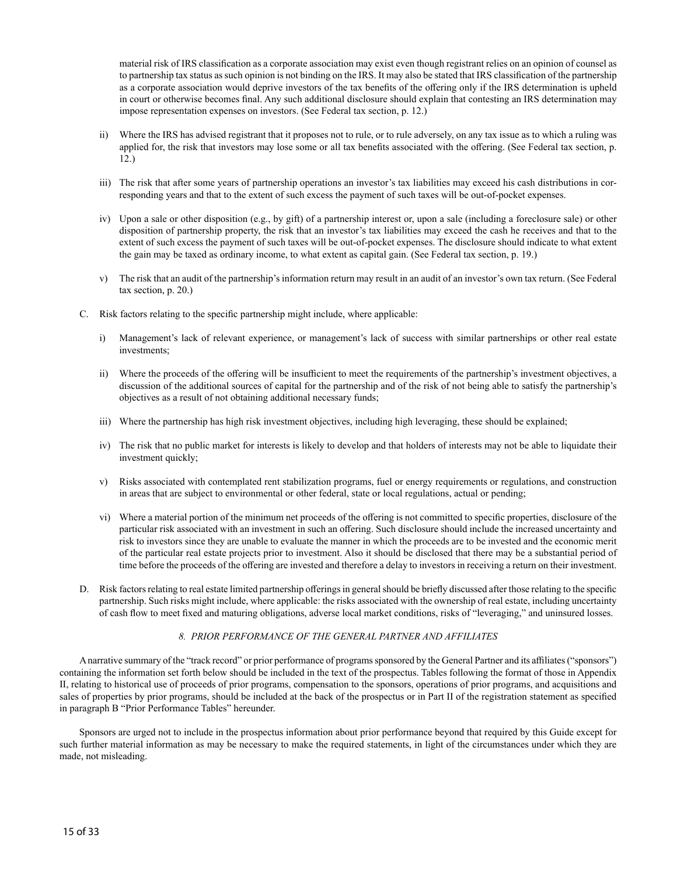material risk of IRS classification as a corporate association may exist even though registrant relies on an opinion of counsel as to partnership tax status assuch opinion is not binding on the IRS. It may also be stated that IRS classification of the partnership as a corporate association would deprive investors of the tax benefits of the offering only if the IRS determination is upheld in court or otherwise becomes final. Any such additional disclosure should explain that contesting an IRS determination may impose representation expenses on investors. (See Federal tax section, p. 12.)

- applied for, the risk that investors may lose some or all tax benefits associated with the offering. (See Federal tax section, p. ii) Where the IRS has advised registrant that it proposes not to rule, or to rule adversely, on any tax issue as to which a ruling was 12.)
- iii) The risk that after some years of partnership operations an investor's tax liabilities may exceed his cash distributions in corresponding years and that to the extent of such excess the payment of such taxes will be out-of-pocket expenses.
- the gain may be taxed as ordinary income, to what extent as capital gain. (See Federal tax section, p. 19.) iv) Upon a sale or other disposition (e.g., by gift) of a partnership interest or, upon a sale (including a foreclosure sale) or other disposition of partnership property, the risk that an investor's tax liabilities may exceed the cash he receives and that to the extent of such excess the payment of such taxes will be out-of-pocket expenses. The disclosure should indicate to what extent
- v) The risk that an audit of the partnership's information return may result in an audit of an investor's own tax return. (See Federal tax section, p. 20.)
- C. Risk factors relating to the specific partnership might include, where applicable:
	- i) Management's lack of relevant experience, or management's lack of success with similar partnerships or other real estate investments;
	- ii) Where the proceeds of the offering will be insufficient to meet the requirements of the partnership's investment objectives, a objectives as a result of not obtaining additional necessary funds; discussion of the additional sources of capital for the partnership and of the risk of not being able to satisfy the partnership's
	- iii) Where the partnership has high risk investment objectives, including high leveraging, these should be explained;
	- iv) The risk that no public market for interests is likely to develop and that holders of interests may not be able to liquidate their investment quickly;
	- v) Risks associated with contemplated rent stabilization programs, fuel or energy requirements or regulations, and construction in areas that are subject to environmental or other federal, state or local regulations, actual or pending;
	- vi) Where a material portion of the minimum net proceeds of the offering is not committed to specific properties, disclosure of the particular risk associated with an investment in such an offering. Such disclosure should include the increased uncertainty and time before the proceeds of the offering are invested and therefore a delay to investors in receiving a return on their investment. risk to investors since they are unable to evaluate the manner in which the proceeds are to be invested and the economic merit of the particular real estate projects prior to investment. Also it should be disclosed that there may be a substantial period of
- D. Risk factors relating to real estate limited partnership offerings in general should be briefly discussed after those relating to the specific of cash flow to meet fixed and maturing obligations, adverse local market conditions, risks of "leveraging," and uninsured losses. partnership. Such risks might include, where applicable: the risks associated with the ownership of real estate, including uncertainty

## *8. PRIOR PERFORMANCE OF THE GENERAL PARTNER AND AFFILIATES*

A narrative summary of the "track record" or prior performance of programs sponsored by the General Partner and its affiliates ("sponsors") II, relating to historical use of proceeds of prior programs, compensation to the sponsors, operations of prior programs, and acquisitions and sales of properties by prior programs, should be included at the back of the prospectus or in Part II of the registration statement as specified containing the information set forth below should be included in the text of the prospectus. Tables following the format of those in Appendix in paragraph B "Prior Performance Tables" hereunder.

 Sponsors are urged not to include in the prospectus information about prior performance beyond that required by this Guide except for such further material information as may be necessary to make the required statements, in light of the circumstances under which they are made, not misleading.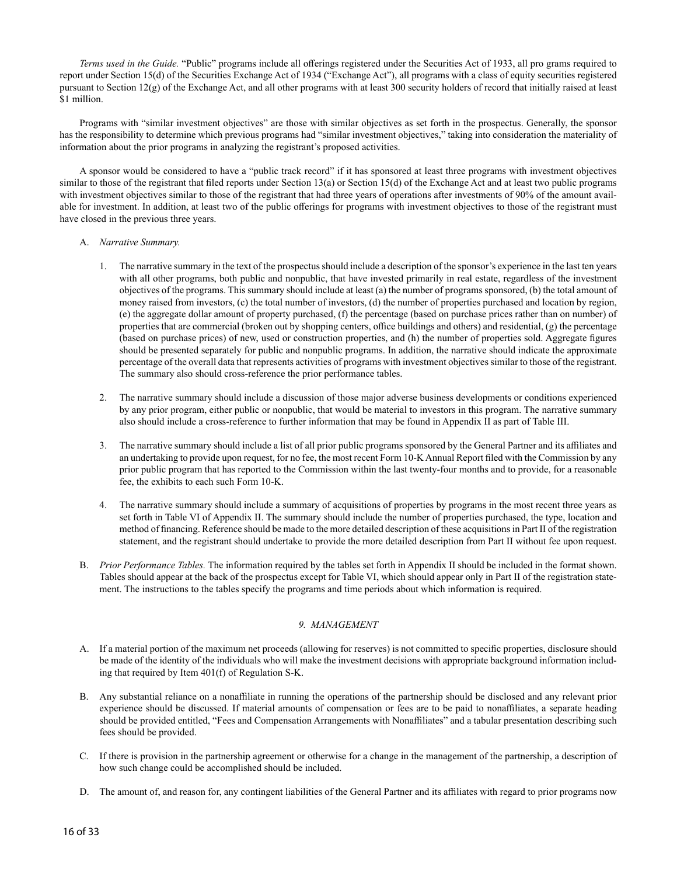*Terms used in the Guide.* "Public" programs include all offerings registered under the Securities Act of 1933, all pro grams required to report under Section 15(d) of the Securities Exchange Act of 1934 ("Exchange Act"), all programs with a class of equity securities registered pursuant to Section 12(g) of the Exchange Act, and all other programs with at least 300 security holders of record that initially raised at least \$1 million.

Programs with "similar investment objectives" are those with similar objectives as set forth in the prospectus. Generally, the sponsor has the responsibility to determine which previous programs had "similar investment objectives," taking into consideration the materiality of information about the prior programs in analyzing the registrant's proposed activities.

 similar to those of the registrant that filed reports under Section 13(a) or Section 15(d) of the Exchange Act and at least two public programs with investment objectives similar to those of the registrant that had three years of operations after investments of 90% of the amount avail- able for investment. In addition, at least two of the public offerings for programs with investment objectives to those of the registrant must A sponsor would be considered to have a "public track record" if it has sponsored at least three programs with investment objectives have closed in the previous three years.

## A. *Narrative Summary.*

- properties that are commercial (broken out by shopping centers, office buildings and others) and residential, (g) the percentage (based on purchase prices) of new, used or construction properties, and (h) the number of properties sold. Aggregate figures 1. The narrative summary in the text of the prospectus should include a description of the sponsor's experience in the last ten years with all other programs, both public and nonpublic, that have invested primarily in real estate, regardless of the investment objectives of the programs. This summary should include at least (a) the number of programs sponsored, (b) the total amount of money raised from investors, (c) the total number of investors, (d) the number of properties purchased and location by region, (e) the aggregate dollar amount of property purchased, (f) the percentage (based on purchase prices rather than on number) of should be presented separately for public and nonpublic programs. In addition, the narrative should indicate the approximate percentage of the overall data that represents activities of programs with investment objectives similar to those of the registrant. The summary also should cross-reference the prior performance tables.
- 2. The narrative summary should include a discussion of those major adverse business developments or conditions experienced by any prior program, either public or nonpublic, that would be material to investors in this program. The narrative summary also should include a cross-reference to further information that may be found in Appendix II as part of Table III.
- 3. The narrative summary should include a list of all prior public programs sponsored by the General Partner and its affiliates and an undertaking to provide upon request, for no fee, the most recent Form 10-KAnnual Report filed with the Commission by any fee, the exhibits to each such Form 10-K. prior public program that has reported to the Commission within the last twenty-four months and to provide, for a reasonable
- 4. The narrative summary should include a summary of acquisitions of properties by programs in the most recent three years as set forth in Table VI of Appendix II. The summary should include the number of properties purchased, the type, location and method of financing. Reference should be made to the more detailed description of these acquisitionsin Part II of the registration statement, and the registrant should undertake to provide the more detailed description from Part II without fee upon request.
- B. *Prior Performance Tables.* The information required by the tables set forth in Appendix II should be included in the format shown. Tables should appear at the back of the prospectus except for Table VI, which should appear only in Part II of the registration state- ment. The instructions to the tables specify the programs and time periods about which information is required.

## *9. MANAGEMENT*

- A. If a material portion of the maximum net proceeds (allowing for reserves) is not committed to specific properties, disclosure should ing that required by Item 401(f) of Regulation S-K. be made of the identity of the individuals who will make the investment decisions with appropriate background information includ-
- B. Any substantial reliance on a nonaffiliate in running the operations of the partnership should be disclosed and any relevant prior experience should be discussed. If material amounts of compensation or fees are to be paid to nonaffiliates, a separate heading should be provided entitled, "Fees and Compensation Arrangements with Nonaffiliates" and a tabular presentation describing such fees should be provided.
- C. If there is provision in the partnership agreement or otherwise for a change in the management of the partnership, a description of how such change could be accomplished should be included.
- D. The amount of, and reason for, any contingent liabilities of the General Partner and its affiliates with regard to prior programs now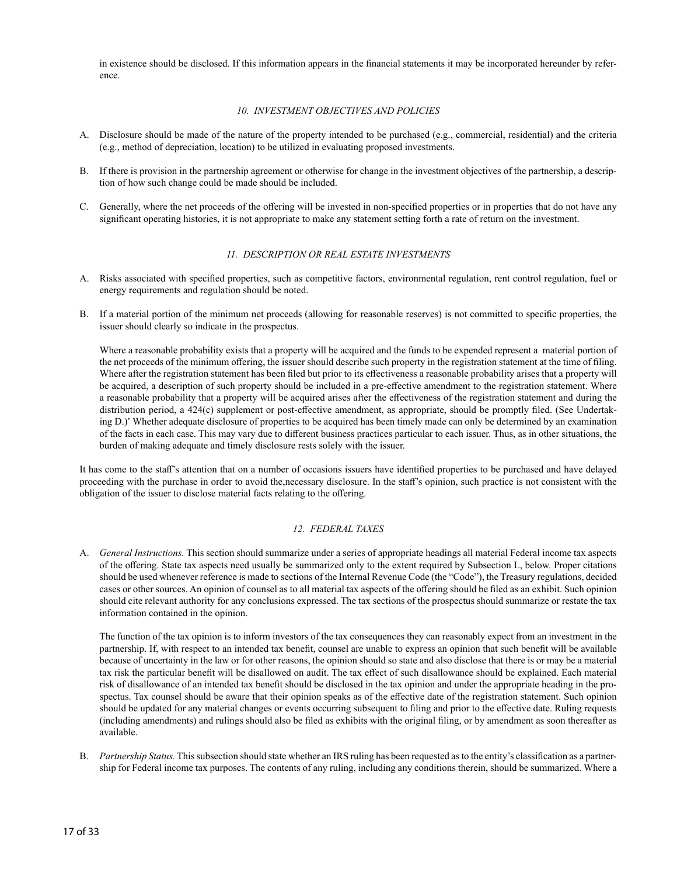in existence should be disclosed. If this information appears in the financial statements it may be incorporated hereunder by reference.

## *10. INVESTMENT OBJECTIVES AND POLICIES*

- A. Disclosure should be made of the nature of the property intended to be purchased (e.g., commercial, residential) and the criteria (e.g., method of depreciation, location) to be utilized in evaluating proposed investments.
- B. If there is provision in the partnership agreement or otherwise for change in the investment objectives of the partnership, a description of how such change could be made should be included.
- C. Generally, where the net proceeds of the offering will be invested in non-specified properties or in properties that do not have any significant operating histories, it is not appropriate to make any statement setting forth a rate of return on the investment.

## *11. DESCRIPTION OR REAL ESTATE INVESTMENTS*

- A. Risks associated with specified properties, such as competitive factors, environmental regulation, rent control regulation, fuel or energy requirements and regulation should be noted.
- B. If a material portion of the minimum net proceeds (allowing for reasonable reserves) is not committed to specific properties, the issuer should clearly so indicate in the prospectus.

 Where a reasonable probability exists that a property will be acquired and the funds to be expended represent a material portion of the net proceeds of the minimum offering, the issuer should describe such property in the registration statement at the time of filing. Where after the registration statement has been filed but prior to its effectiveness a reasonable probability arises that a property will be acquired, a description of such property should be included in a pre-effective amendment to the registration statement. Where a reasonable probability that a property will be acquired arises after the effectiveness of the registration statement and during the distribution period, a 424(c) supplement or post-effective amendment, as appropriate, should be promptly filed. (See Undertak- ing D.)\* Whether adequate disclosure of properties to be acquired has been timely made can only be determined by an examination of the facts in each case. This may vary due to different business practices particular to each issuer. Thus, as in other situations, the burden of making adequate and timely disclosure rests solely with the issuer.

 It has come to the staff's attention that on a number of occasions issuers have identified properties to be purchased and have delayed proceeding with the purchase in order to avoid the,necessary disclosure. In the staff's opinion, such practice is not consistent with the obligation of the issuer to disclose material facts relating to the offering.

## *12. FEDERAL TAXES*

 of the offering. State tax aspects need usually be summarized only to the extent required by Subsection L, below. Proper citations cases or other sources. An opinion of counsel as to all material tax aspects of the offering should be filed as an exhibit. Such opinion A. *General Instructions.* This section should summarize under a series of appropriate headings all material Federal income tax aspects should be used whenever reference is made to sections of the Internal Revenue Code (the "Code"), the Treasury regulations, decided should cite relevant authority for any conclusions expressed. The tax sections of the prospectus should summarize or restate the tax information contained in the opinion.

 The function of the tax opinion is to inform investors of the tax consequences they can reasonably expect from an investment in the partnership. If, with respect to an intended tax benefit, counsel are unable to express an opinion that such benefit will be available tax risk the particular benefit will be disallowed on audit. The tax effect of such disallowance should be explained. Each material risk of disallowance of an intended tax benefit should be disclosed in the tax opinion and under the appropriate heading in the pro- spectus. Tax counsel should be aware that their opinion speaks as of the effective date of the registration statement. Such opinion should be updated for any material changes or events occurring subsequent to filing and prior to the effective date. Ruling requests (including amendments) and rulings should also be filed as exhibits with the original filing, or by amendment as soon thereafter as because of uncertainty in the law or for other reasons, the opinion should so state and also disclose that there is or may be a material available.

 B. *Partnership Status.* Thissubsection should state whether an IRS ruling has been requested asto the entity's classification as a partnership for Federal income tax purposes. The contents of any ruling, including any conditions therein, should be summarized. Where a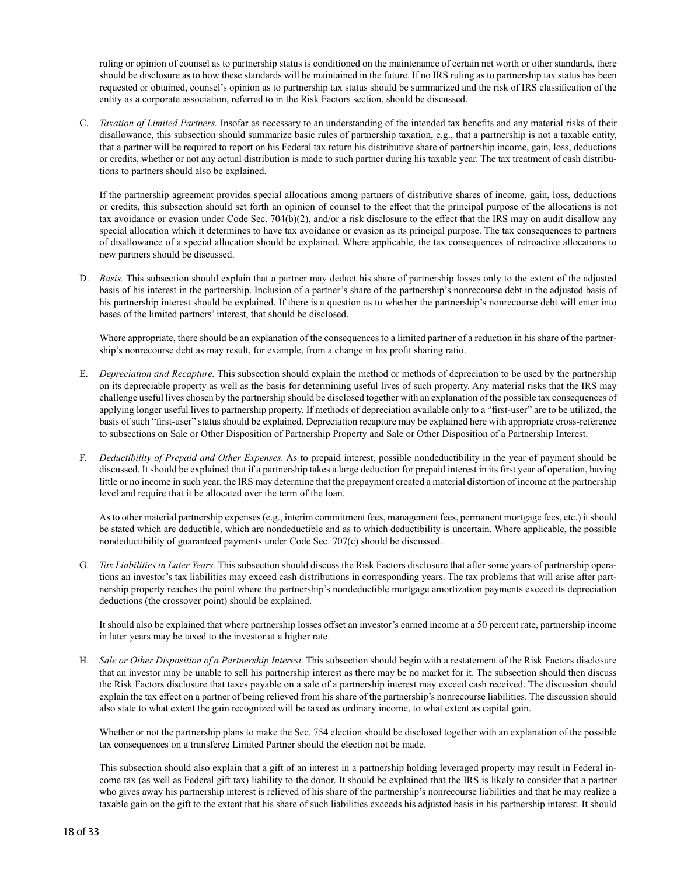requested or obtained, counsel's opinion as to partnership tax status should be summarized and the risk of IRS classification of the ruling or opinion of counsel as to partnership status is conditioned on the maintenance of certain net worth or other standards, there should be disclosure as to how these standards will be maintained in the future. If no IRS ruling as to partnership tax status has been entity as a corporate association, referred to in the Risk Factors section, should be discussed.

 C. *Taxation of Limited Partners.* Insofar as necessary to an understanding of the intended tax benefits and any material risks of their that a partner will be required to report on his Federal tax return his distributive share of partnership income, gain, loss, deductions disallowance, this subsection should summarize basic rules of partnership taxation, e.g., that a partnership is not a taxable entity, or credits, whether or not any actual distribution is made to such partner during his taxable year. The tax treatment of cash distributions to partners should also be explained.

 or credits, this subsection should set forth an opinion of counsel to the effect that the principal purpose of the allocations is not tax avoidance or evasion under Code Sec. 704(b)(2), and/or a risk disclosure to the effect that the IRS may on audit disallow any special allocation which it determines to have tax avoidance or evasion as its principal purpose. The tax consequences to partners of disallowance of a special allocation should be explained. Where applicable, the tax consequences of retroactive allocations to If the partnership agreement provides special allocations among partners of distributive shares of income, gain, loss, deductions new partners should be discussed.

 his partnership interest should be explained. If there is a question as to whether the partnership's nonrecourse debt will enter into D. *Basis.* This subsection should explain that a partner may deduct his share of partnership losses only to the extent of the adjusted basis of his interest in the partnership. Inclusion of a partner's share of the partnership's nonrecourse debt in the adjusted basis of bases of the limited partners' interest, that should be disclosed.

 Where appropriate, there should be an explanation of the consequences to a limited partner of a reduction in his share of the partner- ship's nonrecourse debt as may result, for example, from a change in his profit sharing ratio.

- challenge useful lives chosen by the partnership should be disclosed together with an explanation of the possible tax consequences of applying longer useful lives to partnership property. If methods of depreciation available only to a "first-user" are to be utilized, the basis of such "first-user" status should be explained. Depreciation recapture may be explained here with appropriate cross-reference E. *Depreciation and Recapture.* This subsection should explain the method or methods of depreciation to be used by the partnership on its depreciable property as well as the basis for determining useful lives of such property. Any material risks that the IRS may to subsections on Sale or Other Disposition of Partnership Property and Sale or Other Disposition of a Partnership Interest.
- discussed. It should be explained that if a partnership takes a large deduction for prepaid interest in its first year of operation, having level and require that it be allocated over the term of the loan. F. *Deductibility of Prepaid and Other Expenses.* As to prepaid interest, possible nondeductibility in the year of payment should be little or no income in such year, the IRS may determine that the prepayment created a material distortion of income at the partnership

As to other material partnership expenses (e.g., interim commitment fees, management fees, permanent mortgage fees, etc.) it should be stated which are deductible, which are nondeductible and as to which deductibility is uncertain. Where applicable, the possible nondeductibility of guaranteed payments under Code Sec. 707(c) should be discussed.

G. *Tax Liabilities in Later Years.* This subsection should discuss the Risk Factors disclosure that after some years of partnership operations an investor's tax liabilities may exceed cash distributions in corresponding years. The tax problems that will arise after partnership property reaches the point where the partnership's nondeductible mortgage amortization payments exceed its depreciation deductions (the crossover point) should be explained.

 It should also be explained that where partnership losses offset an investor's earned income at a 50 percent rate, partnership income in later years may be taxed to the investor at a higher rate.

 explain the tax effect on a partner of being relieved from his share of the partnership's nonrecourse liabilities. The discussion should H. *Sale or Other Disposition of a Partnership Interest.* This subsection should begin with a restatement of the Risk Factors disclosure that an investor may be unable to sell his partnership interest as there may be no market for it. The subsection should then discuss the Risk Factors disclosure that taxes payable on a sale of a partnership interest may exceed cash received. The discussion should also state to what extent the gain recognized will be taxed as ordinary income, to what extent as capital gain.

 tax consequences on a transferee Limited Partner should the election not be made. Whether or not the partnership plans to make the Sec. 754 election should be disclosed together with an explanation of the possible

This subsection should also explain that a gift of an interest in a partnership holding leveraged property may result in Federal income tax (as well as Federal gift tax) liability to the donor. It should be explained that the IRS is likely to consider that a partner who gives away his partnership interest is relieved of his share of the partnership's nonrecourse liabilities and that he may realize a taxable gain on the gift to the extent that his share of such liabilities exceeds his adjusted basis in his partnership interest. It should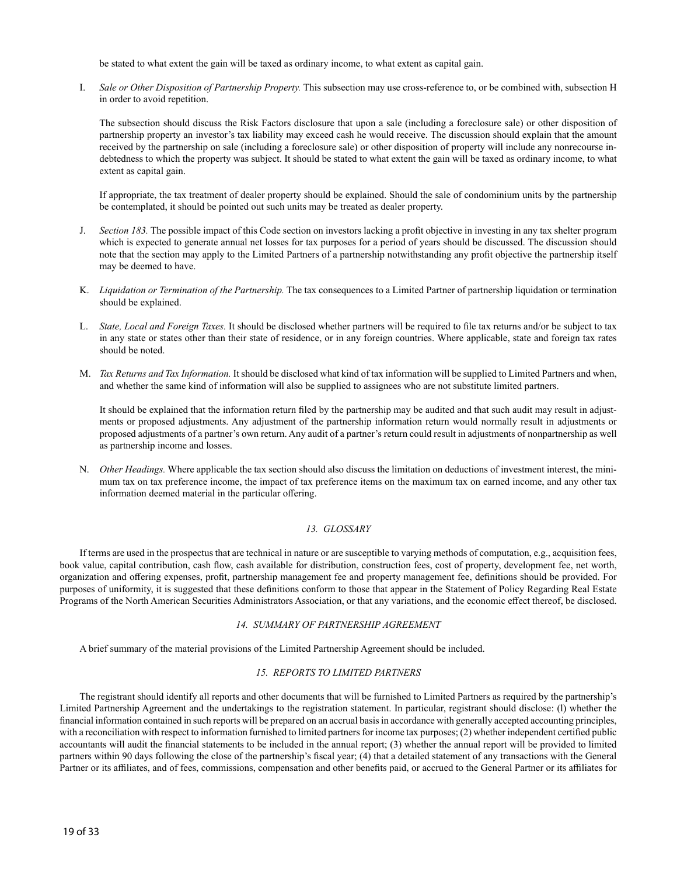be stated to what extent the gain will be taxed as ordinary income, to what extent as capital gain.

I. *Sale or Other Disposition of Partnership Property.* This subsection may use cross-reference to, or be combined with, subsection H in order to avoid repetition.

The subsection should discuss the Risk Factors disclosure that upon a sale (including a foreclosure sale) or other disposition of partnership property an investor's tax liability may exceed cash he would receive. The discussion should explain that the amount received by the partnership on sale (including a foreclosure sale) or other disposition of property will include any nonrecourse indebtedness to which the property was subject. It should be stated to what extent the gain will be taxed as ordinary income, to what extent as capital gain.

If appropriate, the tax treatment of dealer property should be explained. Should the sale of condominium units by the partnership be contemplated, it should be pointed out such units may be treated as dealer property.

- J. *Section 183.* The possible impact of this Code section on investors lacking a profit objective in investing in any tax shelter program note that the section may apply to the Limited Partners of a partnership notwithstanding any profit objective the partnership itself which is expected to generate annual net losses for tax purposes for a period of years should be discussed. The discussion should may be deemed to have.
- K. *Liquidation or Termination of the Partnership*. The tax consequences to a Limited Partner of partnership liquidation or termination should be explained.
- L. *State, Local and Foreign Taxes.* It should be disclosed whether partners will be required to file tax returns and/or be subject to tax in any state or states other than their state of residence, or in any foreign countries. Where applicable, state and foreign tax rates should be noted.
- M. *Tax Returns and Tax Information.* It should be disclosed what kind of tax information will be supplied to Limited Partners and when, and whether the same kind of information will also be supplied to assignees who are not substitute limited partners.

 It should be explained that the information return filed by the partnership may be audited and that such audit may result in adjustments or proposed adjustments. Any adjustment of the partnership information return would normally result in adjustments or proposed adjustments of a partner's own return. Any audit of a partner's return could result in adjustments of nonpartnership as well as partnership income and losses.

 information deemed material in the particular offering. N. *Other Headings.* Where applicable the tax section should also discuss the limitation on deductions of investment interest, the minimum tax on tax preference income, the impact of tax preference items on the maximum tax on earned income, and any other tax

## *13. GLOSSARY*

 If terms are used in the prospectus that are technical in nature or are susceptible to varying methods of computation, e.g., acquisition fees, book value, capital contribution, cash flow, cash available for distribution, construction fees, cost of property, development fee, net worth, organization and offering expenses, profit, partnership management fee and property management fee, definitions should be provided. For purposes of uniformity, it is suggested that these definitions conform to those that appear in the Statement of Policy Regarding Real Estate Programs of the North American Securities Administrators Association, or that any variations, and the economic effect thereof, be disclosed.

#### *14. SUMMARY OF PARTNERSHIP AGREEMENT*

A brief summary of the material provisions of the Limited Partnership Agreement should be included.

## *15. REPORTS TO LIMITED PARTNERS*

 The registrant should identify all reports and other documents that will be furnished to Limited Partners as required by the partnership's financial information contained in such reports will be prepared on an accrual basisin accordance with generally accepted accounting principles, with a reconciliation with respect to information furnished to limited partners for income tax purposes; (2) whether independent certified public accountants will audit the financial statements to be included in the annual report; (3) whether the annual report will be provided to limited partners within 90 days following the close of the partnership's fiscal year; (4) that a detailed statement of any transactions with the General Partner or its affiliates, and of fees, commissions, compensation and other benefits paid, or accrued to the General Partner or its affiliates for Limited Partnership Agreement and the undertakings to the registration statement. In particular, registrant should disclose: (l) whether the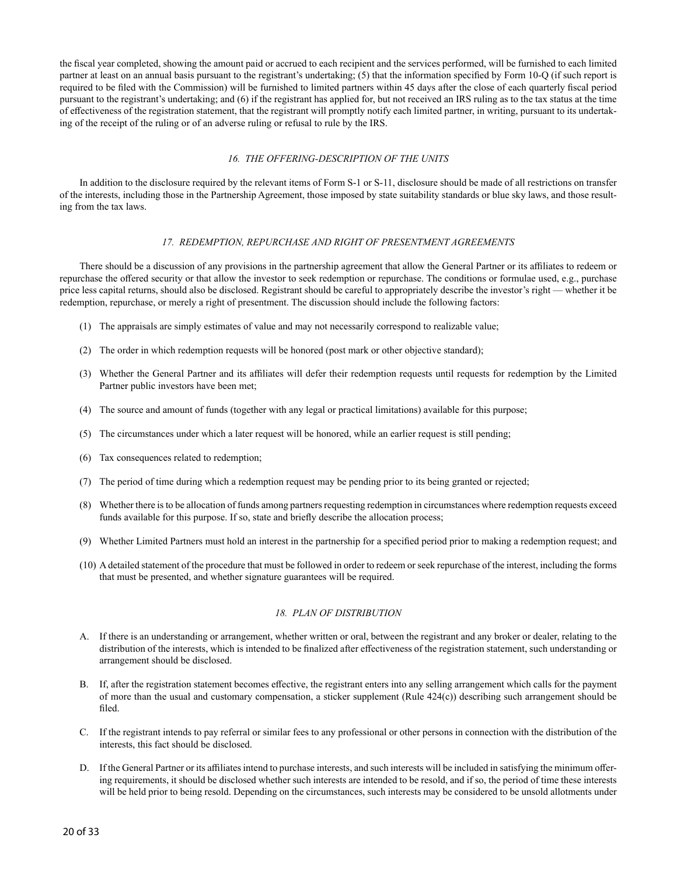the fiscal year completed, showing the amount paid or accrued to each recipient and the services performed, will be furnished to each limited partner at least on an annual basis pursuant to the registrant's undertaking; (5) that the information specified by Form 10-Q (if such report is required to be filed with the Commission) will be furnished to limited partners within 45 days after the close of each quarterly fiscal period pursuant to the registrant's undertaking; and (6) if the registrant has applied for, but not received an IRS ruling as to the tax status at the time of effectiveness of the registration statement, that the registrant will promptly notify each limited partner, in writing, pursuant to its undertaking of the receipt of the ruling or of an adverse ruling or refusal to rule by the IRS.

## *16. THE OFFERING-DESCRIPTION OF THE UNITS*

 In addition to the disclosure required by the relevant items of Form S-1 or S-11, disclosure should be made of all restrictions on transfer of the interests, including those in the Partnership Agreement, those imposed by state suitability standards or blue sky laws, and those resulting from the tax laws.

## *17. REDEMPTION, REPURCHASE AND RIGHT OF PRESENTMENT AGREEMENTS*

 There should be a discussion of any provisions in the partnership agreement that allow the General Partner or its affiliates to redeem or repurchase the offered security or that allow the investor to seek redemption or repurchase. The conditions or formulae used, e.g., purchase price less capital returns, should also be disclosed. Registrant should be careful to appropriately describe the investor's right — whether it be redemption, repurchase, or merely a right of presentment. The discussion should include the following factors:

- (1) The appraisals are simply estimates of value and may not necessarily correspond to realizable value;
- (2) The order in which redemption requests will be honored (post mark or other objective standard);
- (3) Whether the General Partner and its affiliates will defer their redemption requests until requests for redemption by the Limited Partner public investors have been met;
- (4) The source and amount of funds (together with any legal or practical limitations) available for this purpose;
- (5) The circumstances under which a later request will be honored, while an earlier request is still pending;
- (6) Tax consequences related to redemption;
- (7) The period of time during which a redemption request may be pending prior to its being granted or rejected;
- (8) Whether there is to be allocation of funds among partners requesting redemption in circumstances where redemption requests exceed funds available for this purpose. If so, state and briefly describe the allocation process;
- (9) Whether Limited Partners must hold an interest in the partnership for a specified period prior to making a redemption request; and
- (10) A detailed statement of the procedure that must be followed in order to redeem or seek repurchase of the interest, including the forms that must be presented, and whether signature guarantees will be required.

## *18. PLAN OF DISTRIBUTION*

- distribution of the interests, which is intended to be finalized after effectiveness of the registration statement, such understanding or A. If there is an understanding or arrangement, whether written or oral, between the registrant and any broker or dealer, relating to the arrangement should be disclosed.
- B. If, after the registration statement becomes effective, the registrant enters into any selling arrangement which calls for the payment of more than the usual and customary compensation, a sticker supplement (Rule 424(c)) describing such arrangement should be filed.
- C. If the registrant intends to pay referral or similar fees to any professional or other persons in connection with the distribution of the interests, this fact should be disclosed.
- D. If the General Partner or its affiliates intend to purchase interests, and such interests will be included in satisfying the minimum offer- ing requirements, it should be disclosed whether such interests are intended to be resold, and if so, the period of time these interests will be held prior to being resold. Depending on the circumstances, such interests may be considered to be unsold allotments under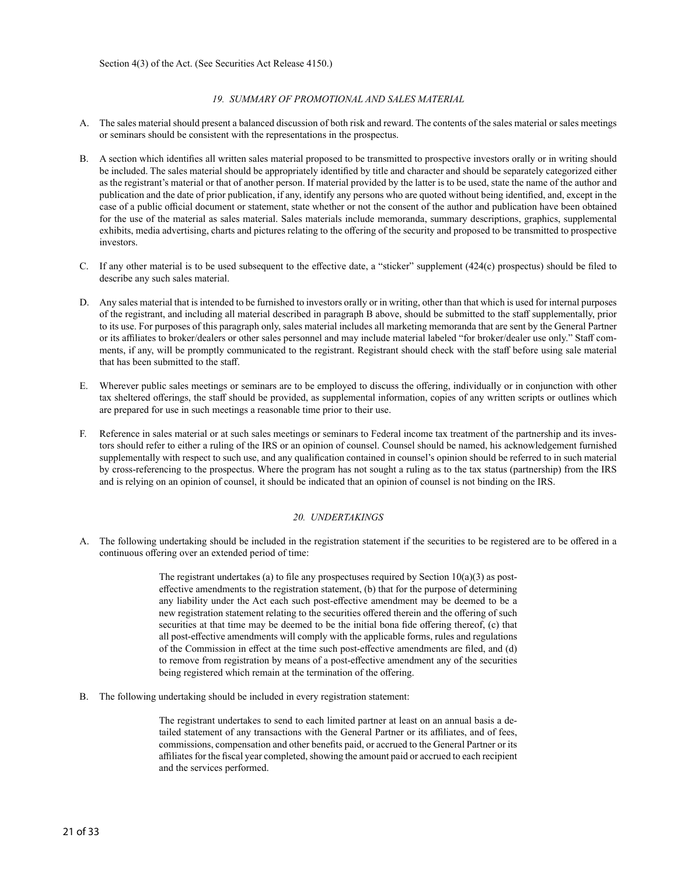Section 4(3) of the Act. (See Securities Act Release 4150.)

## *19. SUMMARY OF PROMOTIONAL AND SALES MATERIAL*

- A. The sales material should present a balanced discussion of both risk and reward. The contents of the sales material or sales meetings or seminars should be consistent with the representations in the prospectus.
- B. A section which identifies all written sales material proposed to be transmitted to prospective investors orally or in writing should be included. The sales material should be appropriately identified by title and character and should be separately categorized either publication and the date of prior publication, if any, identify any persons who are quoted without being identified, and, except in the case of a public official document or statement, state whether or not the consent of the author and publication have been obtained exhibits, media advertising, charts and pictures relating to the offering of the security and proposed to be transmitted to prospective as the registrant's material or that of another person. If material provided by the latter is to be used, state the name of the author and for the use of the material as sales material. Sales materials include memoranda, summary descriptions, graphics, supplemental investors.
- C. If any other material is to be used subsequent to the effective date, a "sticker" supplement  $(424(c)$  prospectus) should be filed to describe any such sales material.
- of the registrant, and including all material described in paragraph B above, should be submitted to the staff supplementally, prior or its affiliates to broker/dealers or other sales personnel and may include material labeled "for broker/dealer use only." Staff com- ments, if any, will be promptly communicated to the registrant. Registrant should check with the staff before using sale material that has been submitted to the staff. D. Any sales material that is intended to be furnished to investors orally or in writing, other than that which is used for internal purposes to its use. For purposes of this paragraph only, sales material includes all marketing memoranda that are sent by the General Partner
- E. Wherever public sales meetings or seminars are to be employed to discuss the offering, individually or in conjunction with other tax sheltered offerings, the staff should be provided, as supplemental information, copies of any written scripts or outlines which are prepared for use in such meetings a reasonable time prior to their use.
- supplementally with respect to such use, and any qualification contained in counsel's opinion should be referred to in such material F. Reference in sales material or at such sales meetings or seminars to Federal income tax treatment of the partnership and its investors should refer to either a ruling of the IRS or an opinion of counsel. Counsel should be named, his acknowledgement furnished by cross-referencing to the prospectus. Where the program has not sought a ruling as to the tax status (partnership) from the IRS and is relying on an opinion of counsel, it should be indicated that an opinion of counsel is not binding on the IRS.

## *20. UNDERTAKINGS*

A. The following undertaking should be included in the registration statement if the securities to be registered are to be offered in a continuous offering over an extended period of time:

> The registrant undertakes (a) to file any prospectuses required by Section  $10(a)(3)$  as post- effective amendments to the registration statement, (b) that for the purpose of determining any liability under the Act each such post-effective amendment may be deemed to be a new registration statement relating to the securities offered therein and the offering of such securities at that time may be deemed to be the initial bona fide offering thereof, (c) that all post-effective amendments will comply with the applicable forms, rules and regulations of the Commission in effect at the time such post-effective amendments are filed, and (d) to remove from registration by means of a post-effective amendment any of the securities being registered which remain at the termination of the offering.

B. The following undertaking should be included in every registration statement:

 tailed statement of any transactions with the General Partner or its affiliates, and of fees, commissions, compensation and other benefits paid, or accrued to the General Partner or its affiliates for the fiscal year completed, showing the amount paid or accrued to each recipient The registrant undertakes to send to each limited partner at least on an annual basis a deand the services performed.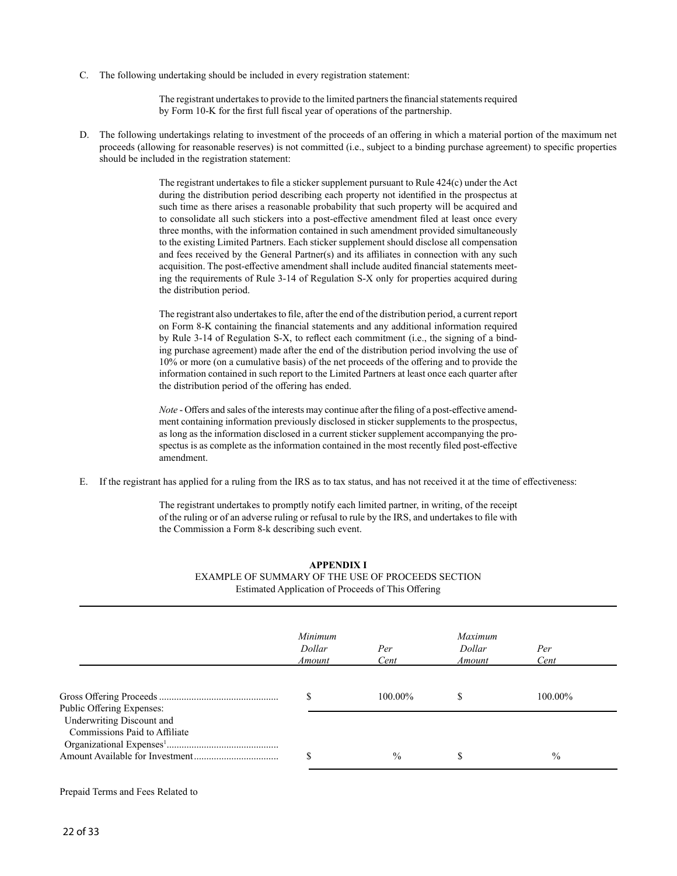C. The following undertaking should be included in every registration statement:

The registrant undertakes to provide to the limited partners the financial statements required by Form 10-K for the first full fiscal year of operations of the partnership.

D. The following undertakings relating to investment of the proceeds of an offering in which a material portion of the maximum net proceeds (allowing for reasonable reserves) is not committed (i.e., subject to a binding purchase agreement) to specific properties should be included in the registration statement:

> The registrant undertakes to file a sticker supplement pursuant to Rule 424(c) under the Act during the distribution period describing each property not identified in the prospectus at such time as there arises a reasonable probability that such property will be acquired and to consolidate all such stickers into a post-effective amendment filed at least once every and fees received by the General Partner(s) and its affiliates in connection with any such acquisition. The post-effective amendment shall include audited financial statements meet- ing the requirements of Rule 3-14 of Regulation S-X only for properties acquired during three months, with the information contained in such amendment provided simultaneously to the existing Limited Partners. Each sticker supplement should disclose all compensation the distribution period.

> The registrant also undertakesto file, after the end of the distribution period, a current report on Form 8-K containing the financial statements and any additional information required by Rule 3-14 of Regulation S-X, to reflect each commitment (i.e., the signing of a bind- 10% or more (on a cumulative basis) of the net proceeds of the offering and to provide the information contained in such report to the Limited Partners at least once each quarter after the distribution period of the offering has ended. ing purchase agreement) made after the end of the distribution period involving the use of

 *Note* - Offers and sales of the interests may continue after the filing of a post-effective amend- spectus is as complete as the information contained in the most recently filed post-effective ment containing information previously disclosed in sticker supplements to the prospectus, as long as the information disclosed in a current sticker supplement accompanying the proamendment.

E. If the registrant has applied for a ruling from the IRS as to tax status, and has not received it at the time of effectiveness:

 of the ruling or of an adverse ruling or refusal to rule by the IRS, and undertakes to file with The registrant undertakes to promptly notify each limited partner, in writing, of the receipt the Commission a Form 8-k describing such event.

|                                                            | Minimum<br>Dollar<br>Amount | Per<br>Cent   | Maximum<br>Dollar<br>Amount | Per<br>Cent   |
|------------------------------------------------------------|-----------------------------|---------------|-----------------------------|---------------|
| Public Offering Expenses:                                  | \$                          | 100.00%       | S                           | 100.00%       |
| Underwriting Discount and<br>Commissions Paid to Affiliate |                             |               |                             |               |
|                                                            |                             | $\frac{0}{0}$ | S                           | $\frac{0}{0}$ |

## EXAMPLE OF SUMMARY OF THE USE OF PROCEEDS SECTION Estimated Application of Proceeds of This Offering **APPENDIX I**

Prepaid Terms and Fees Related to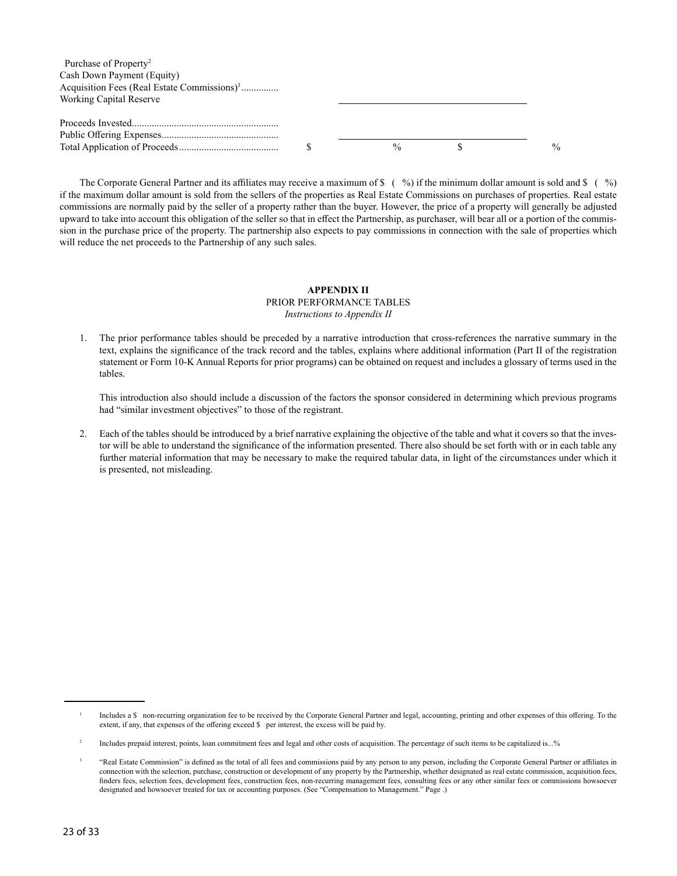| Purchase of Property <sup>2</sup><br>Cash Down Payment (Equity)<br>Acquisition Fees (Real Estate Commissions) <sup>3</sup><br>Working Capital Reserve |  |  |               |
|-------------------------------------------------------------------------------------------------------------------------------------------------------|--|--|---------------|
|                                                                                                                                                       |  |  | $\frac{0}{0}$ |

 The Corporate General Partner and its affiliates may receive a maximum of \$ ( %) if the minimum dollar amount is sold and \$ ( %) upward to take into account this obligation of the seller so that in effect the Partnership, as purchaser, will bear all or a portion of the commisif the maximum dollar amount is sold from the sellers of the properties as Real Estate Commissions on purchases of properties. Real estate commissions are normally paid by the seller of a property rather than the buyer. However, the price of a property will generally be adjusted sion in the purchase price of the property. The partnership also expects to pay commissions in connection with the sale of properties which will reduce the net proceeds to the Partnership of any such sales.

## **APPENDIX II**  PRIOR PERFORMANCE TABLES *Instructions to Appendix II*

 text, explains the significance of the track record and the tables, explains where additional information (Part II of the registration statement or Form 10-K Annual Reports for prior programs) can be obtained on request and includes a glossary of terms used in the 1. The prior performance tables should be preceded by a narrative introduction that cross-references the narrative summary in the tables.

This introduction also should include a discussion of the factors the sponsor considered in determining which previous programs had "similar investment objectives" to those of the registrant.

 tor will be able to understand the significance of the information presented. There also should be set forth with or in each table any further material information that may be necessary to make the required tabular data, in light of the circumstances under which it 2. Each of the tables should be introduced by a brief narrative explaining the objective of the table and what it covers so that the invesis presented, not misleading.

<sup>&</sup>lt;sup>1</sup> Includes a \$ non-recurring organization fee to be received by the Corporate General Partner and legal, accounting, printing and other expenses of this offering. To the extent, if any, that expenses of the offering exceed \$ per interest, the excess will be paid by.

Includes prepaid interest, points, loan commitment fees and legal and other costs of acquisition. The percentage of such items to be capitalized is...%

<sup>&</sup>lt;sup>3</sup> "Real Estate Commission" is defined as the total of all fees and commissions paid by any person to any person, including the Corporate General Partner or affiliates in connection with the selection, purchase, construction or development of any property by the Partnership, whether designated as real estate commission, acquisition fees, finders fees, selection fees, development fees, construction fees, non-recurring management fees, consulting fees or any other similar fees or commissions howsoever designated and howsoever treated for tax or accounting purposes. (See "Compensation to Management." Page .)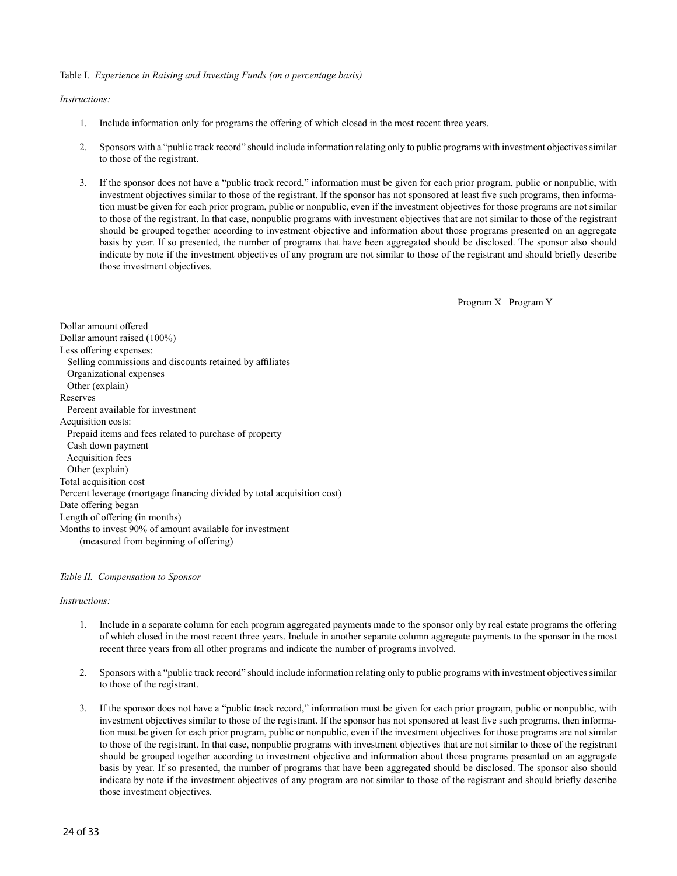## Table I. *Experience in Raising and Investing Funds (on a percentage basis)*

## *Instructions:*

- 1. Include information only for programs the offering of which closed in the most recent three years.
- 2. Sponsors with a "public track record" should include information relating only to public programs with investment objectives similar to those of the registrant.
- investment objectives similar to those of the registrant. If the sponsor has not sponsored at least five such programs, then informa- indicate by note if the investment objectives of any program are not similar to those of the registrant and should briefly describe 3. If the sponsor does not have a "public track record," information must be given for each prior program, public or nonpublic, with tion must be given for each prior program, public or nonpublic, even if the investment objectives for those programs are not similar to those of the registrant. In that case, nonpublic programs with investment objectives that are not similar to those of the registrant should be grouped together according to investment objective and information about those programs presented on an aggregate basis by year. If so presented, the number of programs that have been aggregated should be disclosed. The sponsor also should those investment objectives.

Program X Program Y

 Dollar amount offered Less offering expenses: Selling commissions and discounts retained by affiliates Acquisition fees Total acquisition cost Percent leverage (mortgage financing divided by total acquisition cost) Date offering began Length of offering (in months) Months to invest 90% of amount available for investment (measured from beginning of offering) Dollar amount raised (100%) Organizational expenses Other (explain) Reserves Percent available for investment Acquisition costs: Prepaid items and fees related to purchase of property Cash down payment Other (explain)

## *Table II. Compensation to Sponsor*

## *Instructions:*

- 1. Include in a separate column for each program aggregated payments made to the sponsor only by real estate programs the offering of which closed in the most recent three years. Include in another separate column aggregate payments to the sponsor in the most recent three years from all other programs and indicate the number of programs involved.
- 2. Sponsors with a "public track record" should include information relating only to public programs with investment objectives similar to those of the registrant.
- investment objectives similar to those of the registrant. If the sponsor has not sponsored at least five such programs, then informa- indicate by note if the investment objectives of any program are not similar to those of the registrant and should briefly describe 3. If the sponsor does not have a "public track record," information must be given for each prior program, public or nonpublic, with tion must be given for each prior program, public or nonpublic, even if the investment objectives for those programs are not similar to those of the registrant. In that case, nonpublic programs with investment objectives that are not similar to those of the registrant should be grouped together according to investment objective and information about those programs presented on an aggregate basis by year. If so presented, the number of programs that have been aggregated should be disclosed. The sponsor also should those investment objectives.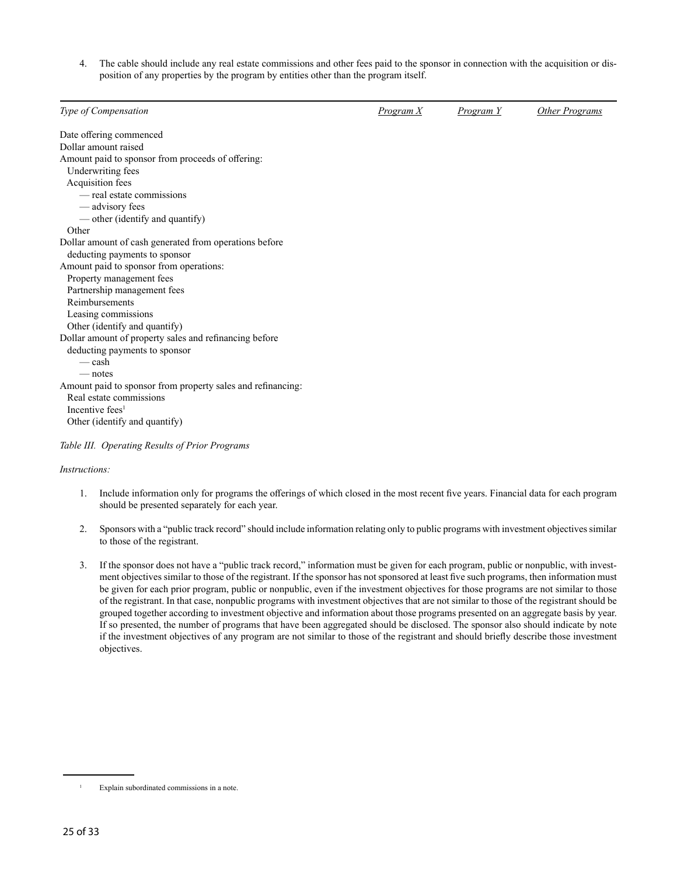4. The cable should include any real estate commissions and other fees paid to the sponsor in connection with the acquisition or disposition of any properties by the program by entities other than the program itself.

| Type of Compensation                                        | Program $X$ | Program Y | Other Programs |
|-------------------------------------------------------------|-------------|-----------|----------------|
| Date offering commenced                                     |             |           |                |
| Dollar amount raised                                        |             |           |                |
| Amount paid to sponsor from proceeds of offering:           |             |           |                |
| Underwriting fees                                           |             |           |                |
| Acquisition fees                                            |             |           |                |
| — real estate commissions                                   |             |           |                |
| — advisory fees                                             |             |           |                |
| - other (identify and quantify)                             |             |           |                |
| Other                                                       |             |           |                |
| Dollar amount of cash generated from operations before      |             |           |                |
| deducting payments to sponsor                               |             |           |                |
| Amount paid to sponsor from operations:                     |             |           |                |
| Property management fees                                    |             |           |                |
| Partnership management fees                                 |             |           |                |
| Reimbursements                                              |             |           |                |
| Leasing commissions                                         |             |           |                |
| Other (identify and quantify)                               |             |           |                |
| Dollar amount of property sales and refinancing before      |             |           |                |
| deducting payments to sponsor                               |             |           |                |
| — cash                                                      |             |           |                |
| — notes                                                     |             |           |                |
| Amount paid to sponsor from property sales and refinancing: |             |           |                |
| Real estate commissions                                     |             |           |                |
| Incentive fees <sup>1</sup>                                 |             |           |                |
| Other (identify and quantify)                               |             |           |                |
| Table III. Operating Results of Prior Programs              |             |           |                |

*Instructions:*

- 1. Include information only for programs the offerings of which closed in the most recent five years. Financial data for each program should be presented separately for each year.
- 2. Sponsors with a "public track record" should include information relating only to public programs with investment objectives similar to those of the registrant.
- ment objectives similar to those of the registrant. If the sponsor has not sponsored at least five such programs, then information must if the investment objectives of any program are not similar to those of the registrant and should briefly describe those investment 3. If the sponsor does not have a "public track record," information must be given for each program, public or nonpublic, with investbe given for each prior program, public or nonpublic, even if the investment objectives for those programs are not similar to those of the registrant. In that case, nonpublic programs with investment objectives that are not similar to those of the registrant should be grouped together according to investment objective and information about those programs presented on an aggregate basis by year. If so presented, the number of programs that have been aggregated should be disclosed. The sponsor also should indicate by note objectives.

Explain subordinated commissions in a note. 1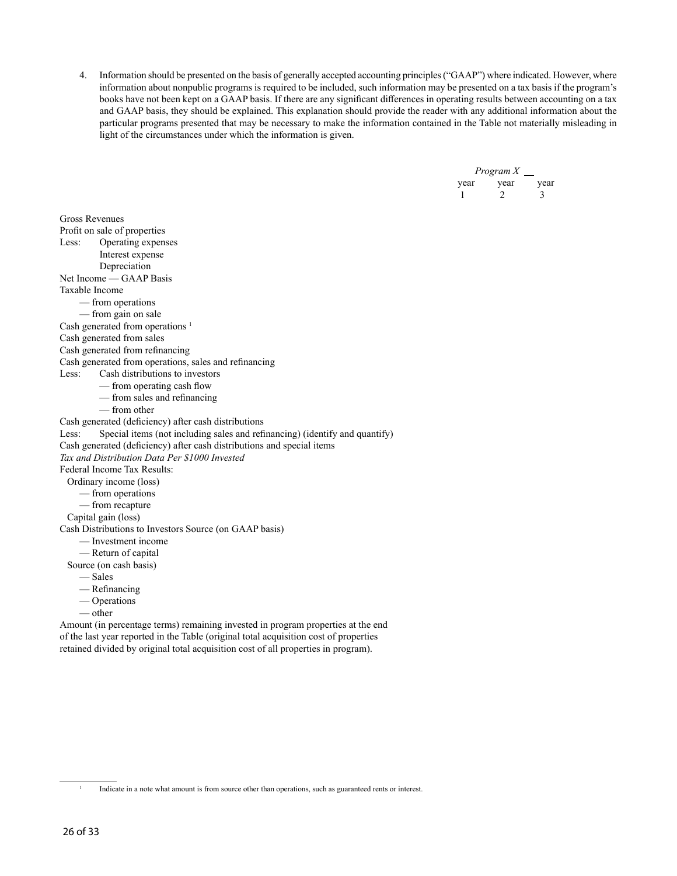information about nonpublic programs is required to be included, such information may be presented on a tax basis if the program's books have not been kept on a GAAP basis. If there are any significant differences in operating results between accounting on a tax 4. Information should be presented on the basis of generally accepted accounting principles ("GAAP") where indicated. However, where and GAAP basis, they should be explained. This explanation should provide the reader with any additional information about the particular programs presented that may be necessary to make the information contained in the Table not materially misleading in light of the circumstances under which the information is given.

|                                                                                       |      | Program $X$ $\_\_$ |      |
|---------------------------------------------------------------------------------------|------|--------------------|------|
|                                                                                       | year | year               | year |
|                                                                                       | 1    | 2                  | 3    |
| Gross Revenues                                                                        |      |                    |      |
| Profit on sale of properties                                                          |      |                    |      |
| Operating expenses<br>Less:                                                           |      |                    |      |
| Interest expense                                                                      |      |                    |      |
| Depreciation                                                                          |      |                    |      |
| Net Income — GAAP Basis                                                               |      |                    |      |
| Taxable Income                                                                        |      |                    |      |
| — from operations                                                                     |      |                    |      |
| - from gain on sale                                                                   |      |                    |      |
| Cash generated from operations $1$                                                    |      |                    |      |
| Cash generated from sales                                                             |      |                    |      |
| Cash generated from refinancing                                                       |      |                    |      |
| Cash generated from operations, sales and refinancing                                 |      |                    |      |
| Cash distributions to investors<br>Less:                                              |      |                    |      |
| - from operating cash flow                                                            |      |                    |      |
| - from sales and refinancing                                                          |      |                    |      |
| — from other                                                                          |      |                    |      |
| Cash generated (deficiency) after cash distributions                                  |      |                    |      |
| Special items (not including sales and refinancing) (identify and quantify)<br>Less:  |      |                    |      |
| Cash generated (deficiency) after cash distributions and special items                |      |                    |      |
| Tax and Distribution Data Per \$1000 Invested                                         |      |                    |      |
| Federal Income Tax Results:                                                           |      |                    |      |
| Ordinary income (loss)                                                                |      |                    |      |
| — from operations                                                                     |      |                    |      |
| - from recapture                                                                      |      |                    |      |
| Capital gain (loss)                                                                   |      |                    |      |
| Cash Distributions to Investors Source (on GAAP basis)                                |      |                    |      |
| — Investment income                                                                   |      |                    |      |
| - Return of capital                                                                   |      |                    |      |
| Source (on cash basis)                                                                |      |                    |      |
| $\equiv$ Sales                                                                        |      |                    |      |
| — Refinancing                                                                         |      |                    |      |
| — Operations                                                                          |      |                    |      |
| — other                                                                               |      |                    |      |
| Amount (in percentage terms) remaining invested in program properties at the end      |      |                    |      |
| of the last year reported in the Table (original total acquisition cost of properties |      |                    |      |

divided by original total acquisition cost of all properties in retained divided by original total acquisition cost of all properties in program).

 $\overline{a}$ 

Indicate in a note what amount is from source other than operations, such as guaranteed rents or interest. 1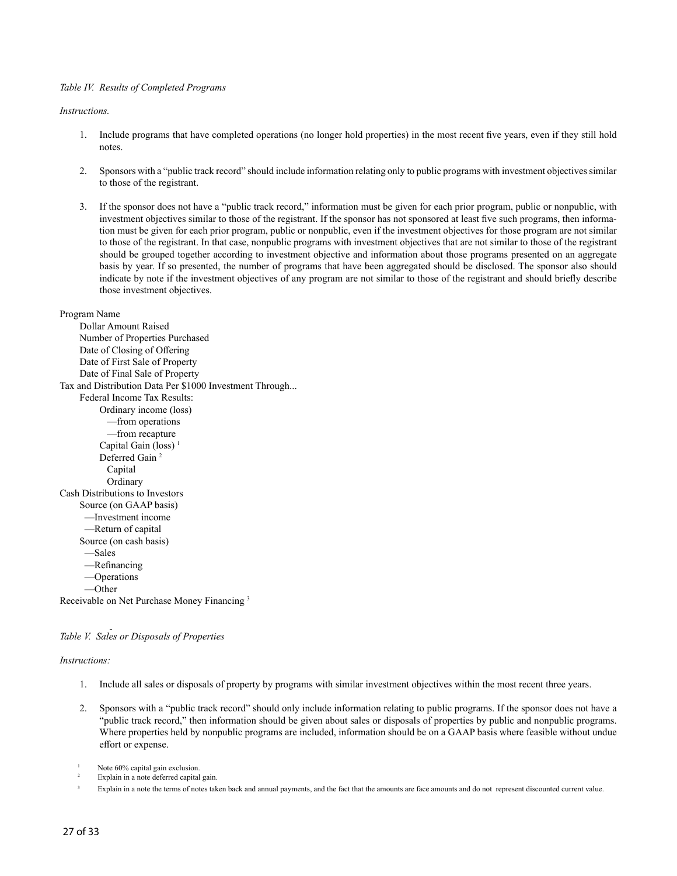## *Table IV. Results of Completed Programs*

*Instructions.* 

- 1. Include programs that have completed operations (no longer hold properties) in the most recent five years, even if they still hold notes.
- 2. Sponsors with a "public track record" should include information relating only to public programs with investment objectives similar to those of the registrant.
- investment objectives similar to those of the registrant. If the sponsor has not sponsored at least five such programs, then informa- indicate by note if the investment objectives of any program are not similar to those of the registrant and should briefly describe 3. If the sponsor does not have a "public track record," information must be given for each prior program, public or nonpublic, with tion must be given for each prior program, public or nonpublic, even if the investment objectives for those program are not similar to those of the registrant. In that case, nonpublic programs with investment objectives that are not similar to those of the registrant should be grouped together according to investment objective and information about those programs presented on an aggregate basis by year. If so presented, the number of programs that have been aggregated should be disclosed. The sponsor also should those investment objectives.

 Date of Closing of Offering Tax and Distribution Data Per \$1000 Investment Through... Program Name Dollar Amount Raised Number of Properties Purchased Date of First Sale of Property Date of Final Sale of Property Federal Income Tax Results: Ordinary income (loss) —from operations —from recapture Capital Gain (loss)<sup>1</sup> Deferred Gain<sup>2</sup> Capital Ordinary Cash Distributions to Investors Source (on GAAP basis) —Investment income —Return of capital Source (on cash basis) —Sales —Refinancing —Operations —Other Receivable on Net Purchase Money Financing 3

## *Table V. Sales or Disposals of Properties*

#### *Instructions:*

- 1. Include all sales or disposals of property by programs with similar investment objectives within the most recent three years.
- effort or expense. 2. Sponsors with a "public track record" should only include information relating to public programs. If the sponsor does not have a "public track record," then information should be given about sales or disposals of properties by public and nonpublic programs. Where properties held by nonpublic programs are included, information should be on a GAAP basis where feasible without undue
- <sup>1</sup> Note 60% capital gain exclusion.<br><sup>2</sup> Explain in a note deferred capital gain.
- 
- Explain in a note the terms of notes taken back and annual payments, and the fact that the amounts are face amounts and do not represent discounted current value.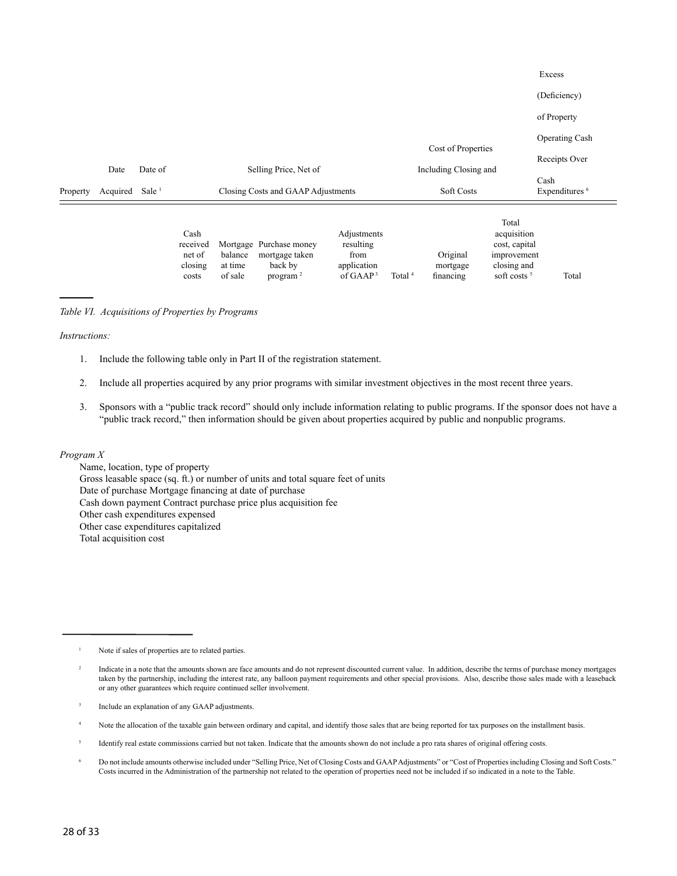|          |                 |                                                |                                                |                                           |                                                                     |                                                               |                       |                                   |                                                                                       | Excess                |
|----------|-----------------|------------------------------------------------|------------------------------------------------|-------------------------------------------|---------------------------------------------------------------------|---------------------------------------------------------------|-----------------------|-----------------------------------|---------------------------------------------------------------------------------------|-----------------------|
|          |                 |                                                |                                                |                                           |                                                                     |                                                               |                       |                                   |                                                                                       | (Deficiency)          |
|          |                 |                                                |                                                |                                           |                                                                     |                                                               |                       |                                   |                                                                                       | of Property           |
|          |                 |                                                |                                                |                                           |                                                                     |                                                               |                       | Cost of Properties                |                                                                                       | <b>Operating Cash</b> |
|          | Date of<br>Date |                                                | Selling Price, Net of                          | Including Closing and                     |                                                                     |                                                               | Receipts Over<br>Cash |                                   |                                                                                       |                       |
| Property | Acquired        | Sale $1$<br>Closing Costs and GAAP Adjustments |                                                |                                           | Soft Costs                                                          |                                                               |                       | Expenditures <sup>6</sup>         |                                                                                       |                       |
|          |                 |                                                | Cash<br>received<br>net of<br>closing<br>costs | Mortgage<br>balance<br>at time<br>of sale | Purchase money<br>mortgage taken<br>back by<br>program <sup>2</sup> | Adjustments<br>resulting<br>from<br>application<br>of $GAAP3$ | Total <sup>4</sup>    | Original<br>mortgage<br>financing | Total<br>acquisition<br>cost, capital<br>improvement<br>closing and<br>soft costs $5$ | Total                 |

*Table VI. Acquisitions of Properties by Programs* 

## *Instructions:*

- 1. Include the following table only in Part II of the registration statement.
- 2. Include all properties acquired by any prior programs with similar investment objectives in the most recent three years.
- "public track record," then information should be given about properties acquired by public and nonpublic programs. 3. Sponsors with a "public track record" should only include information relating to public programs. If the sponsor does not have a

## *Program X*

 Gross leasable space (sq. ft.) or number of units and total square feet of units Date of purchase Mortgage financing at date of purchase Cash down payment Contract purchase price plus acquisition fee Total acquisition cost Name, location, type of property Other cash expenditures expensed Other case expenditures capitalized

- <sup>4</sup> Note the allocation of the taxable gain between ordinary and capital, and identify those sales that are being reported for tax purposes on the installment basis.
- <sup>5</sup> Identify real estate commissions carried but not taken. Indicate that the amounts shown do not include a pro rata shares of original offering costs.
- 6 Do not include amounts otherwise included under "Selling Price, Net of Closing Costs and GAAPAdjustments" or "Cost of Properties including Closing and Soft Costs." Costs incurred in the Administration of the partnership not related to the operation of properties need not be included if so indicated in a note to the Table.

<sup>&</sup>lt;sup>1</sup> Note if sales of properties are to related parties.

 taken by the partnership, including the interest rate, any balloon payment requirements and other special provisions. Also, describe those sales made with a leaseback or any other guarantees which require continued seller involvement. <sup>2</sup> Indicate in a note that the amounts shown are face amounts and do not represent discounted current value. In addition, describe the terms of purchase money mortgages

<sup>&</sup>lt;sup>3</sup> Include an explanation of any GAAP adjustments.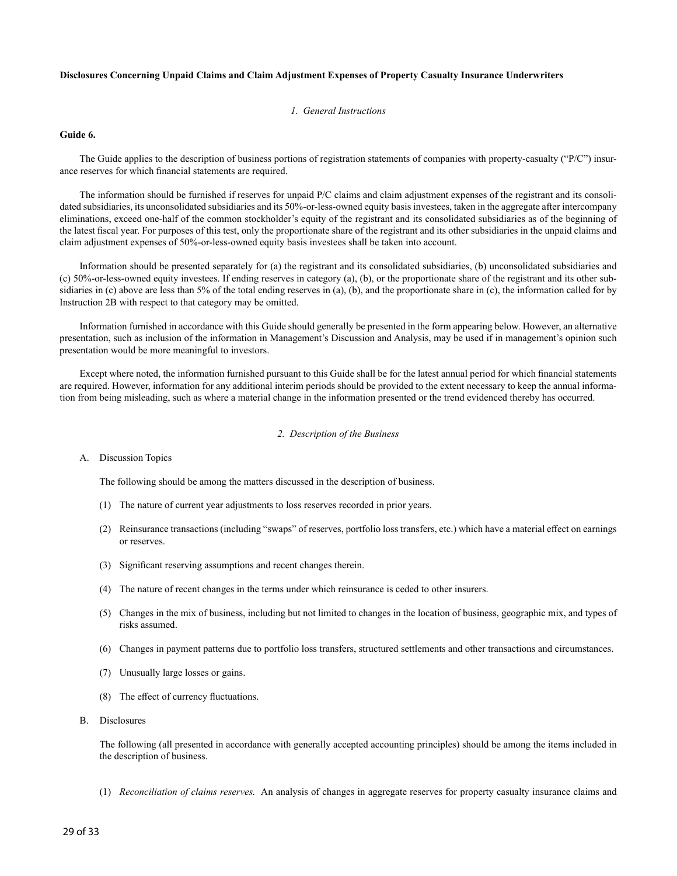#### **Disclosures Concerning Unpaid Claims and Claim Adjustment Expenses of Property Casualty Insurance Underwriters**

## *1. General Instructions*

## **Guide 6.**

 ance reserves for which financial statements are required. The Guide applies to the description of business portions of registration statements of companies with property-casualty ("P/C") insur-

 dated subsidiaries, its unconsolidated subsidiaries and its 50%-or-less-owned equity basis investees, taken in the aggregate after intercompany eliminations, exceed one-half of the common stockholder's equity of the registrant and its consolidated subsidiaries as of the beginning of the latest fiscal year. For purposes of this test, only the proportionate share of the registrant and its other subsidiaries in the unpaid claims and claim adjustment expenses of 50%-or-less-owned equity basis investees shall be taken into account. The information should be furnished if reserves for unpaid P/C claims and claim adjustment expenses of the registrant and its consoli-

 (c) 50%-or-less-owned equity investees. If ending reserves in category (a), (b), or the proportionate share of the registrant and its other sub-Information should be presented separately for (a) the registrant and its consolidated subsidiaries, (b) unconsolidated subsidiaries and sidiaries in (c) above are less than 5% of the total ending reserves in (a), (b), and the proportionate share in (c), the information called for by Instruction 2B with respect to that category may be omitted.

Information furnished in accordance with this Guide should generally be presented in the form appearing below. However, an alternative presentation, such as inclusion of the information in Management's Discussion and Analysis, may be used if in management's opinion such presentation would be more meaningful to investors.

 Except where noted, the information furnished pursuant to this Guide shall be for the latest annual period for which financial statements are required. However, information for any additional interim periods should be provided to the extent necessary to keep the annual information from being misleading, such as where a material change in the information presented or the trend evidenced thereby has occurred.

#### *2. Description of the Business*

#### A. Discussion Topics

The following should be among the matters discussed in the description of business.

- (1) The nature of current year adjustments to loss reserves recorded in prior years.
- (2) Reinsurance transactions (including "swaps" of reserves, portfolio loss transfers, etc.) which have a material effect on earnings or reserves.
- (3) Significant reserving assumptions and recent changes therein.
- (4) The nature of recent changes in the terms under which reinsurance is ceded to other insurers.
- (5) Changes in the mix of business, including but not limited to changes in the location of business, geographic mix, and types of risks assumed.
- (6) Changes in payment patterns due to portfolio loss transfers, structured settlements and other transactions and circumstances.
- (7) Unusually large losses or gains.
- (8) The effect of currency fluctuations.
- B. Disclosures

The following (all presented in accordance with generally accepted accounting principles) should be among the items included in the description of business.

(1) *Reconciliation of claims reserves.* An analysis of changes in aggregate reserves for property casualty insurance claims and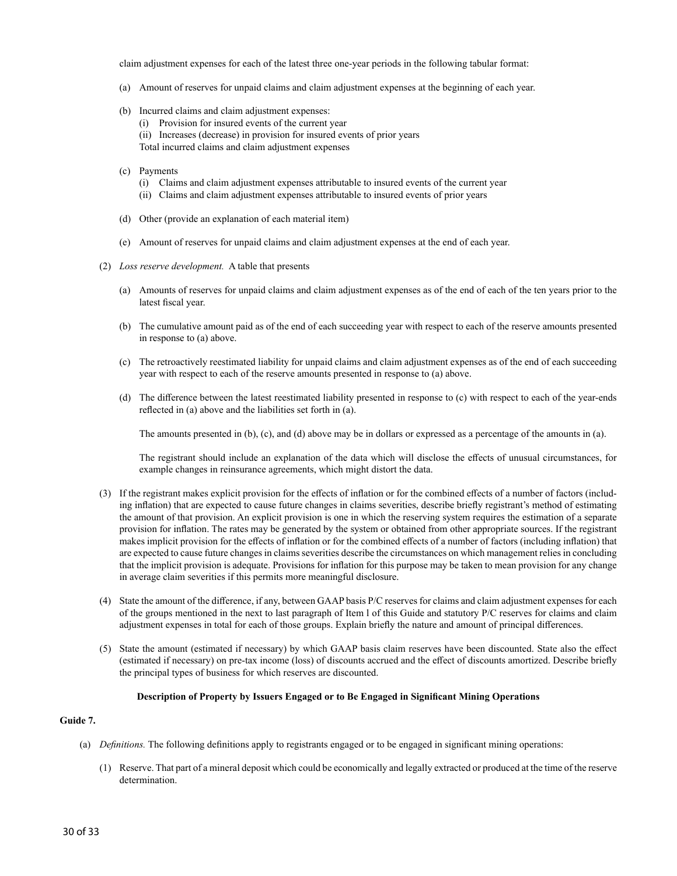claim adjustment expenses for each of the latest three one-year periods in the following tabular format:

- (a) Amount of reserves for unpaid claims and claim adjustment expenses at the beginning of each year.
- (b) Incurred claims and claim adjustment expenses:
	- (i) Provision for insured events of the current year
	- (ii) Increases (decrease) in provision for insured events of prior years
	- Total incurred claims and claim adjustment expenses
- (c) Payments
	- (i) Claims and claim adjustment expenses attributable to insured events of the current year
	- (ii) Claims and claim adjustment expenses attributable to insured events of prior years
- (d) Other (provide an explanation of each material item)
- (e) Amount of reserves for unpaid claims and claim adjustment expenses at the end of each year.
- (2) *Loss reserve development.* A table that presents
	- latest fiscal year. (a) Amounts of reserves for unpaid claims and claim adjustment expenses as of the end of each of the ten years prior to the
	- (b) The cumulative amount paid as of the end of each succeeding year with respect to each of the reserve amounts presented in response to (a) above.
	- (c) The retroactively reestimated liability for unpaid claims and claim adjustment expenses as of the end of each succeeding year with respect to each of the reserve amounts presented in response to (a) above.
	- (d) The difference between the latest reestimated liability presented in response to (c) with respect to each of the year-ends reflected in (a) above and the liabilities set forth in (a).

The amounts presented in (b), (c), and (d) above may be in dollars or expressed as a percentage of the amounts in (a).

 The registrant should include an explanation of the data which will disclose the effects of unusual circumstances, for example changes in reinsurance agreements, which might distort the data.

- (3) If the registrant makes explicit provision for the effects of inflation or for the combined effects of a number of factors (includ- ing inflation) that are expected to cause future changes in claims severities, describe briefly registrant's method of estimating the amount of that provision. An explicit provision is one in which the reserving system requires the estimation of a separate provision for inflation. The rates may be generated by the system or obtained from other appropriate sources. If the registrant makes implicit provision for the effects of inflation or for the combined effects of a number of factors (including inflation) that that the implicit provision is adequate. Provisions for inflation for this purpose may be taken to mean provision for any change are expected to cause future changes in claims severities describe the circumstances on which management relies in concluding in average claim severities if this permits more meaningful disclosure.
- (4) State the amount of the difference, if any, between GAAP basis P/C reserves for claims and claim adjustment expenses for each adjustment expenses in total for each of those groups. Explain briefly the nature and amount of principal differences. of the groups mentioned in the next to last paragraph of Item l of this Guide and statutory P/C reserves for claims and claim
- (5) State the amount (estimated if necessary) by which GAAP basis claim reserves have been discounted. State also the effect (estimated if necessary) on pre-tax income (loss) of discounts accrued and the effect of discounts amortized. Describe briefly the principal types of business for which reserves are discounted.

## **Description of Property by Issuers Engaged or to Be Engaged in Significant Mining Operations**

## **Guide 7.**

- (a) *Definitions.* The following definitions apply to registrants engaged or to be engaged in significant mining operations:
	- (1) Reserve. That part of a mineral deposit which could be economically and legally extracted or produced at the time of the reserve determination.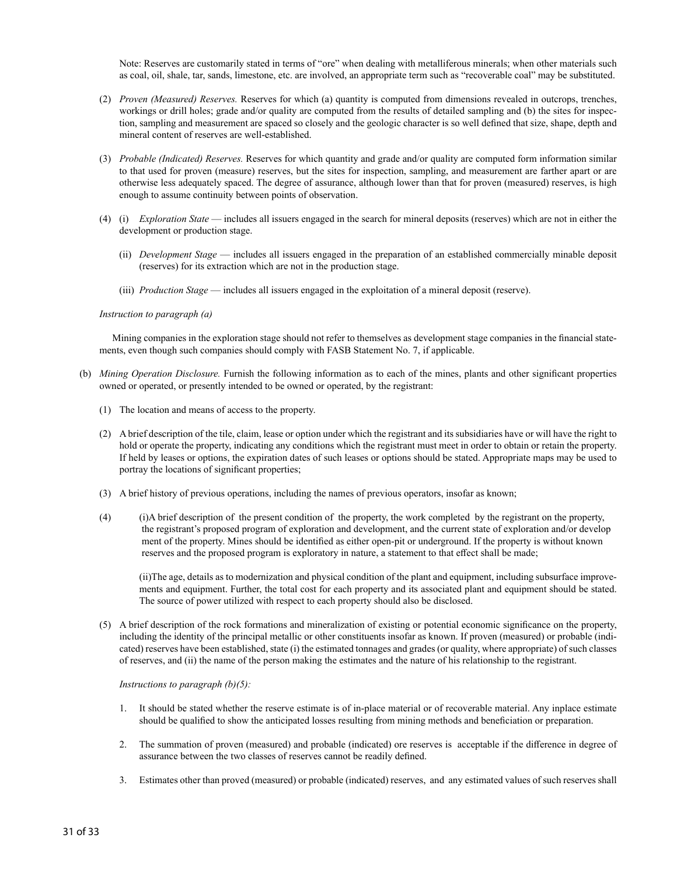Note: Reserves are customarily stated in terms of "ore" when dealing with metalliferous minerals; when other materials such as coal, oil, shale, tar, sands, limestone, etc. are involved, an appropriate term such as "recoverable coal" may be substituted.

- (2) *Proven (Measured) Reserves.* Reserves for which (a) quantity is computed from dimensions revealed in outcrops, trenches, workings or drill holes; grade and/or quality are computed from the results of detailed sampling and (b) the sites for inspec- tion, sampling and measurement are spaced so closely and the geologic character is so well defined that size, shape, depth and mineral content of reserves are well-established.
- (3) *Probable (Indicated) Reserves.* Reserves for which quantity and grade and/or quality are computed form information similar otherwise less adequately spaced. The degree of assurance, although lower than that for proven (measured) reserves, is high to that used for proven (measure) reserves, but the sites for inspection, sampling, and measurement are farther apart or are enough to assume continuity between points of observation.
- (4) (i) *Exploration State*  includes all issuers engaged in the search for mineral deposits (reserves) which are not in either the development or production stage.
	- (ii) *Development Stage* includes all issuers engaged in the preparation of an established commercially minable deposit (reserves) for its extraction which are not in the production stage.
	- (iii) *Production Stage* includes all issuers engaged in the exploitation of a mineral deposit (reserve).

#### *Instruction to paragraph (a)*

 Mining companies in the exploration stage should not refer to themselves as development stage companies in the financial statements, even though such companies should comply with FASB Statement No. 7, if applicable.

- (b) *Mining Operation Disclosure.* Furnish the following information as to each of the mines, plants and other significant properties owned or operated, or presently intended to be owned or operated, by the registrant:
	- (1) The location and means of access to the property.
	- (2) A brief description of the tile, claim, lease or option under which the registrant and its subsidiaries have or will have the right to portray the locations of significant properties; hold or operate the property, indicating any conditions which the registrant must meet in order to obtain or retain the property. If held by leases or options, the expiration dates of such leases or options should be stated. Appropriate maps may be used to
	- (3) A brief history of previous operations, including the names of previous operators, insofar as known;
	- $(4)$  ment of the property. Mines should be identified as either open-pit or underground. If the property is without known reserves and the proposed program is exploratory in nature, a statement to that effect shall be made; (4) (i)A brief description of the present condition of the property, the work completed by the registrant on the property, the registrant's proposed program of exploration and development, and the current state of exploration and/or develop

 (ii)The age, details as to modernization and physical condition of the plant and equipment, including subsurface improve- ments and equipment. Further, the total cost for each property and its associated plant and equipment should be stated. The source of power utilized with respect to each property should also be disclosed.

 (5) A brief description of the rock formations and mineralization of existing or potential economic significance on the property, cated) reserves have been established, state (i) the estimated tonnages and grades (or quality, where appropriate) of such classes including the identity of the principal metallic or other constituents insofar as known. If proven (measured) or probable (indiof reserves, and (ii) the name of the person making the estimates and the nature of his relationship to the registrant.

#### *Instructions to paragraph (b)(5):*

- should be qualified to show the anticipated losses resulting from mining methods and beneficiation or preparation. 1. It should be stated whether the reserve estimate is of in-place material or of recoverable material. Any inplace estimate
- 2. The summation of proven (measured) and probable (indicated) ore reserves is acceptable if the difference in degree of assurance between the two classes of reserves cannot be readily defined.
- 3. Estimates other than proved (measured) or probable (indicated) reserves, and any estimated values of such reserves shall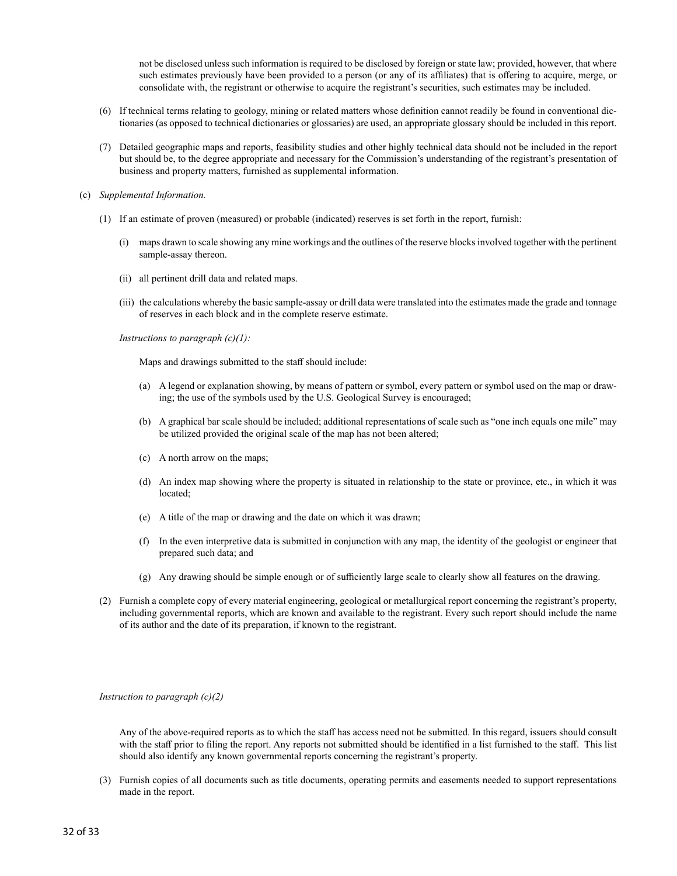not be disclosed unless such information is required to be disclosed by foreign or state law; provided, however, that where such estimates previously have been provided to a person (or any of its affiliates) that is offering to acquire, merge, or consolidate with, the registrant or otherwise to acquire the registrant's securities, such estimates may be included.

- (6) If technical terms relating to geology, mining or related matters whose definition cannot readily be found in conventional dictionaries (as opposed to technical dictionaries or glossaries) are used, an appropriate glossary should be included in this report.
- (7) Detailed geographic maps and reports, feasibility studies and other highly technical data should not be included in the report but should be, to the degree appropriate and necessary for the Commission's understanding of the registrant's presentation of business and property matters, furnished as supplemental information.
- (c) *Supplemental Information.* 
	- (1) If an estimate of proven (measured) or probable (indicated) reserves is set forth in the report, furnish:
		- (i) maps drawn to scale showing any mine workings and the outlines of the reserve blocks involved together with the pertinent sample-assay thereon.
		- (ii) all pertinent drill data and related maps.
		- (iii) the calculations whereby the basic sample-assay or drill data were translated into the estimates made the grade and tonnage of reserves in each block and in the complete reserve estimate.

#### *Instructions to paragraph (c)(1):*

 Maps and drawings submitted to the staff should include:

- ing; the use of the symbols used by the U.S. Geological Survey is encouraged; (a) A legend or explanation showing, by means of pattern or symbol, every pattern or symbol used on the map or draw-
- (b) A graphical bar scale should be included; additional representations of scale such as "one inch equals one mile" may be utilized provided the original scale of the map has not been altered;
- (c) A north arrow on the maps;
- (d) An index map showing where the property is situated in relationship to the state or province, etc., in which it was located;
- (e) A title of the map or drawing and the date on which it was drawn;
- prepared such data; and (f) In the even interpretive data is submitted in conjunction with any map, the identity of the geologist or engineer that
- (g) Any drawing should be simple enough or of sufficiently large scale to clearly show all features on the drawing.
- (2) Furnish a complete copy of every material engineering, geological or metallurgical report concerning the registrant's property, including governmental reports, which are known and available to the registrant. Every such report should include the name of its author and the date of its preparation, if known to the registrant.

*Instruction to paragraph (c)(2)* 

 Any of the above-required reports as to which the staff has access need not be submitted. In this regard, issuers should consult with the staff prior to filing the report. Any reports not submitted should be identified in a list furnished to the staff. This list should also identify any known governmental reports concerning the registrant's property.

(3) Furnish copies of all documents such as title documents, operating permits and easements needed to support representations made in the report.